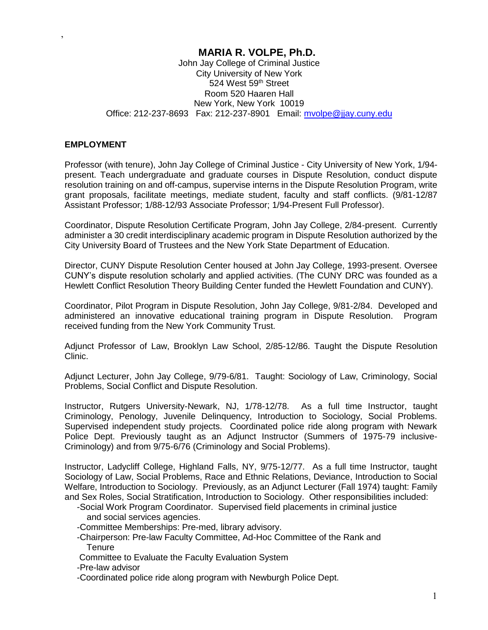# **MARIA R. VOLPE, Ph.D.**

John Jay College of Criminal Justice City University of New York 524 West 59th Street Room 520 Haaren Hall New York, New York 10019 Office: 212-237-8693 Fax: 212-237-8901 Email: [mvolpe@jjay.cuny.edu](mailto:mvolpe@jjay.cuny.edu)

#### **EMPLOYMENT**

,

Professor (with tenure), John Jay College of Criminal Justice - City University of New York, 1/94 present. Teach undergraduate and graduate courses in Dispute Resolution, conduct dispute resolution training on and off-campus, supervise interns in the Dispute Resolution Program, write grant proposals, facilitate meetings, mediate student, faculty and staff conflicts. (9/81-12/87 Assistant Professor; 1/88-12/93 Associate Professor; 1/94-Present Full Professor).

Coordinator, Dispute Resolution Certificate Program, John Jay College, 2/84-present. Currently administer a 30 credit interdisciplinary academic program in Dispute Resolution authorized by the City University Board of Trustees and the New York State Department of Education.

Director, CUNY Dispute Resolution Center housed at John Jay College, 1993-present. Oversee CUNY's dispute resolution scholarly and applied activities. (The CUNY DRC was founded as a Hewlett Conflict Resolution Theory Building Center funded the Hewlett Foundation and CUNY).

Coordinator, Pilot Program in Dispute Resolution, John Jay College, 9/81-2/84. Developed and administered an innovative educational training program in Dispute Resolution. Program received funding from the New York Community Trust.

Adjunct Professor of Law, Brooklyn Law School, 2/85-12/86. Taught the Dispute Resolution Clinic.

Adjunct Lecturer, John Jay College, 9/79-6/81. Taught: Sociology of Law, Criminology, Social Problems, Social Conflict and Dispute Resolution.

Instructor, Rutgers University-Newark, NJ, 1/78-12/78. As a full time Instructor, taught Criminology, Penology, Juvenile Delinquency, Introduction to Sociology, Social Problems. Supervised independent study projects. Coordinated police ride along program with Newark Police Dept. Previously taught as an Adjunct Instructor (Summers of 1975-79 inclusive-Criminology) and from 9/75-6/76 (Criminology and Social Problems).

Instructor, Ladycliff College, Highland Falls, NY, 9/75-12/77. As a full time Instructor, taught Sociology of Law, Social Problems, Race and Ethnic Relations, Deviance, Introduction to Social Welfare, Introduction to Sociology. Previously, as an Adjunct Lecturer (Fall 1974) taught: Family and Sex Roles, Social Stratification, Introduction to Sociology. Other responsibilities included:

- -Social Work Program Coordinator. Supervised field placements in criminal justice and social services agencies.
- -Committee Memberships: Pre-med, library advisory.
- -Chairperson: Pre-law Faculty Committee, Ad-Hoc Committee of the Rank and **Tenure**
- Committee to Evaluate the Faculty Evaluation System

-Pre-law advisor

-Coordinated police ride along program with Newburgh Police Dept.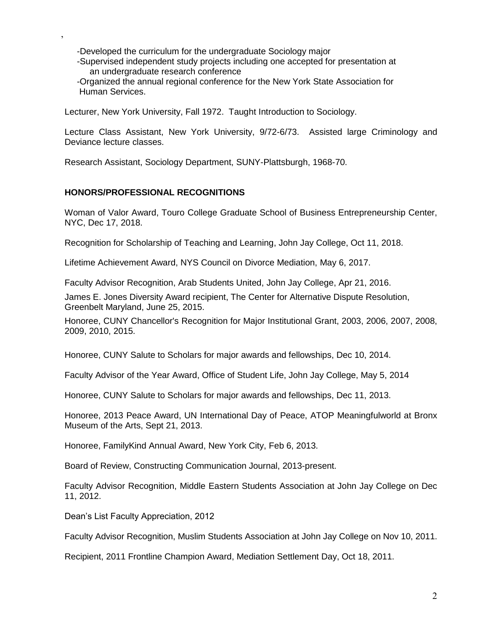-Developed the curriculum for the undergraduate Sociology major

 -Supervised independent study projects including one accepted for presentation at an undergraduate research conference

 -Organized the annual regional conference for the New York State Association for Human Services.

Lecturer, New York University, Fall 1972. Taught Introduction to Sociology.

Lecture Class Assistant, New York University, 9/72-6/73. Assisted large Criminology and Deviance lecture classes.

Research Assistant, Sociology Department, SUNY-Plattsburgh, 1968-70.

#### **HONORS/PROFESSIONAL RECOGNITIONS**

,

Woman of Valor Award, Touro College Graduate School of Business Entrepreneurship Center, NYC, Dec 17, 2018.

Recognition for Scholarship of Teaching and Learning, John Jay College, Oct 11, 2018.

Lifetime Achievement Award, NYS Council on Divorce Mediation, May 6, 2017.

Faculty Advisor Recognition, Arab Students United, John Jay College, Apr 21, 2016.

James E. Jones Diversity Award recipient, The Center for Alternative Dispute Resolution, Greenbelt Maryland, June 25, 2015.

Honoree, CUNY Chancellor's Recognition for Major Institutional Grant, 2003, 2006, 2007, 2008, 2009, 2010, 2015.

Honoree, CUNY Salute to Scholars for major awards and fellowships, Dec 10, 2014.

Faculty Advisor of the Year Award, Office of Student Life, John Jay College, May 5, 2014

Honoree, CUNY Salute to Scholars for major awards and fellowships, Dec 11, 2013.

Honoree, 2013 Peace Award, UN International Day of Peace, ATOP Meaningfulworld at Bronx Museum of the Arts, Sept 21, 2013.

Honoree, FamilyKind Annual Award, New York City, Feb 6, 2013.

Board of Review, Constructing Communication Journal, 2013-present.

Faculty Advisor Recognition, Middle Eastern Students Association at John Jay College on Dec 11, 2012.

Dean's List Faculty Appreciation, 2012

Faculty Advisor Recognition, Muslim Students Association at John Jay College on Nov 10, 2011.

Recipient, 2011 Frontline Champion Award, Mediation Settlement Day, Oct 18, 2011.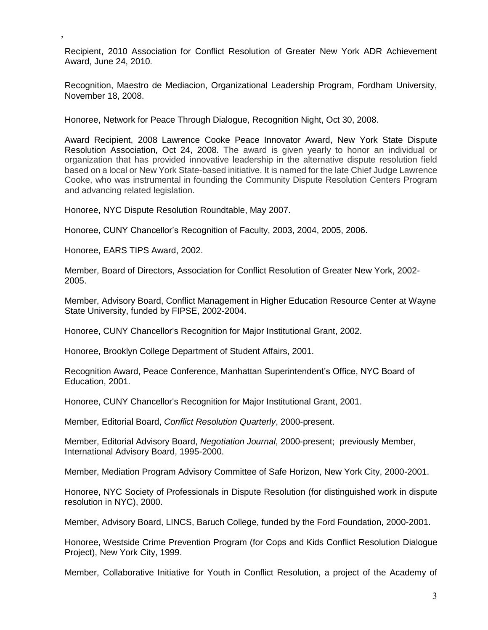Recipient, 2010 Association for Conflict Resolution of Greater New York ADR Achievement Award, June 24, 2010.

Recognition, Maestro de Mediacion, Organizational Leadership Program, Fordham University, November 18, 2008.

Honoree, Network for Peace Through Dialogue, Recognition Night, Oct 30, 2008.

Award Recipient, 2008 Lawrence Cooke Peace Innovator Award, New York State Dispute Resolution Association, Oct 24, 2008. The award is given yearly to honor an individual or organization that has provided innovative leadership in the alternative dispute resolution field based on a local or New York State-based initiative. It is named for the late Chief Judge Lawrence Cooke, who was instrumental in founding the Community Dispute Resolution Centers Program and advancing related legislation.

Honoree, NYC Dispute Resolution Roundtable, May 2007.

Honoree, CUNY Chancellor's Recognition of Faculty, 2003, 2004, 2005, 2006.

Honoree, EARS TIPS Award, 2002.

,

Member, Board of Directors, Association for Conflict Resolution of Greater New York, 2002- 2005.

Member, Advisory Board, Conflict Management in Higher Education Resource Center at Wayne State University, funded by FIPSE, 2002-2004.

Honoree, CUNY Chancellor's Recognition for Major Institutional Grant, 2002.

Honoree, Brooklyn College Department of Student Affairs, 2001.

Recognition Award, Peace Conference, Manhattan Superintendent's Office, NYC Board of Education, 2001.

Honoree, CUNY Chancellor's Recognition for Major Institutional Grant, 2001.

Member, Editorial Board, *Conflict Resolution Quarterly*, 2000-present.

Member, Editorial Advisory Board, *Negotiation Journal*, 2000-present; previously Member, International Advisory Board, 1995-2000.

Member, Mediation Program Advisory Committee of Safe Horizon, New York City, 2000-2001.

Honoree, NYC Society of Professionals in Dispute Resolution (for distinguished work in dispute resolution in NYC), 2000.

Member, Advisory Board, LINCS, Baruch College, funded by the Ford Foundation, 2000-2001.

Honoree, Westside Crime Prevention Program (for Cops and Kids Conflict Resolution Dialogue Project), New York City, 1999.

Member, Collaborative Initiative for Youth in Conflict Resolution, a project of the Academy of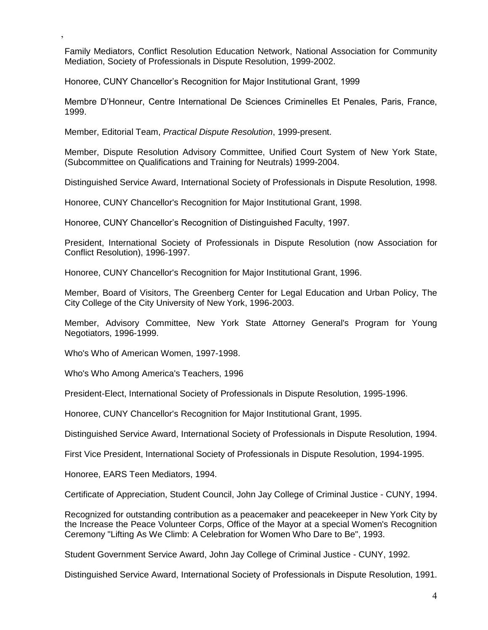Family Mediators, Conflict Resolution Education Network, National Association for Community Mediation, Society of Professionals in Dispute Resolution, 1999-2002.

Honoree, CUNY Chancellor's Recognition for Major Institutional Grant, 1999

Membre D'Honneur, Centre International De Sciences Criminelles Et Penales, Paris, France, 1999.

Member, Editorial Team, *Practical Dispute Resolution*, 1999-present.

Member, Dispute Resolution Advisory Committee, Unified Court System of New York State, (Subcommittee on Qualifications and Training for Neutrals) 1999-2004.

Distinguished Service Award, International Society of Professionals in Dispute Resolution, 1998.

Honoree, CUNY Chancellor's Recognition for Major Institutional Grant, 1998.

Honoree, CUNY Chancellor's Recognition of Distinguished Faculty, 1997.

President, International Society of Professionals in Dispute Resolution (now Association for Conflict Resolution), 1996-1997.

Honoree, CUNY Chancellor's Recognition for Major Institutional Grant, 1996.

Member, Board of Visitors, The Greenberg Center for Legal Education and Urban Policy, The City College of the City University of New York, 1996-2003.

Member, Advisory Committee, New York State Attorney General's Program for Young Negotiators, 1996-1999.

Who's Who of American Women, 1997-1998.

,

Who's Who Among America's Teachers, 1996

President-Elect, International Society of Professionals in Dispute Resolution, 1995-1996.

Honoree, CUNY Chancellor's Recognition for Major Institutional Grant, 1995.

Distinguished Service Award, International Society of Professionals in Dispute Resolution, 1994.

First Vice President, International Society of Professionals in Dispute Resolution, 1994-1995.

Honoree, EARS Teen Mediators, 1994.

Certificate of Appreciation, Student Council, John Jay College of Criminal Justice - CUNY, 1994.

Recognized for outstanding contribution as a peacemaker and peacekeeper in New York City by the Increase the Peace Volunteer Corps, Office of the Mayor at a special Women's Recognition Ceremony "Lifting As We Climb: A Celebration for Women Who Dare to Be", 1993.

Student Government Service Award, John Jay College of Criminal Justice - CUNY, 1992.

Distinguished Service Award, International Society of Professionals in Dispute Resolution, 1991.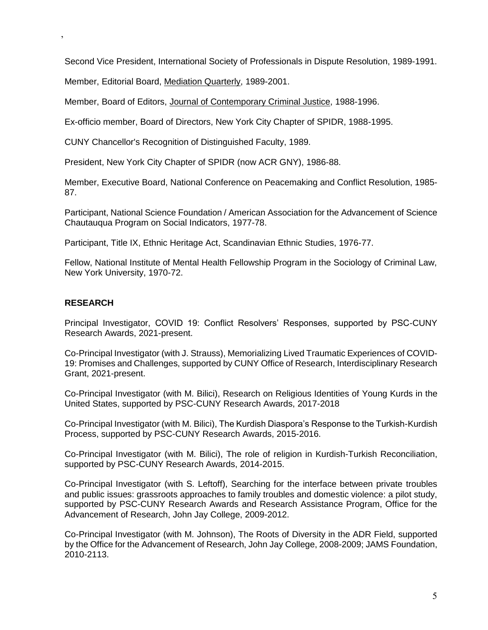Second Vice President, International Society of Professionals in Dispute Resolution, 1989-1991.

Member, Editorial Board, Mediation Quarterly, 1989-2001.

Member, Board of Editors, Journal of Contemporary Criminal Justice, 1988-1996.

Ex-officio member, Board of Directors, New York City Chapter of SPIDR, 1988-1995.

CUNY Chancellor's Recognition of Distinguished Faculty, 1989.

President, New York City Chapter of SPIDR (now ACR GNY), 1986-88.

Member, Executive Board, National Conference on Peacemaking and Conflict Resolution, 1985- 87.

Participant, National Science Foundation / American Association for the Advancement of Science Chautauqua Program on Social Indicators, 1977-78.

Participant, Title IX, Ethnic Heritage Act, Scandinavian Ethnic Studies, 1976-77.

Fellow, National Institute of Mental Health Fellowship Program in the Sociology of Criminal Law, New York University, 1970-72.

#### **RESEARCH**

,

Principal Investigator, COVID 19: Conflict Resolvers' Responses, supported by PSC-CUNY Research Awards, 2021-present.

Co-Principal Investigator (with J. Strauss), Memorializing Lived Traumatic Experiences of COVID-19: Promises and Challenges, supported by CUNY Office of Research, Interdisciplinary Research Grant, 2021-present.

Co-Principal Investigator (with M. Bilici), Research on Religious Identities of Young Kurds in the United States, supported by PSC-CUNY Research Awards, 2017-2018

Co-Principal Investigator (with M. Bilici), The Kurdish Diaspora's Response to the Turkish-Kurdish Process, supported by PSC-CUNY Research Awards, 2015-2016.

Co-Principal Investigator (with M. Bilici), The role of religion in Kurdish-Turkish Reconciliation, supported by PSC-CUNY Research Awards, 2014-2015.

Co-Principal Investigator (with S. Leftoff), Searching for the interface between private troubles and public issues: grassroots approaches to family troubles and domestic violence: a pilot study, supported by PSC-CUNY Research Awards and Research Assistance Program, Office for the Advancement of Research, John Jay College, 2009-2012.

Co-Principal Investigator (with M. Johnson), The Roots of Diversity in the ADR Field, supported by the Office for the Advancement of Research, John Jay College, 2008-2009; JAMS Foundation, 2010-2113.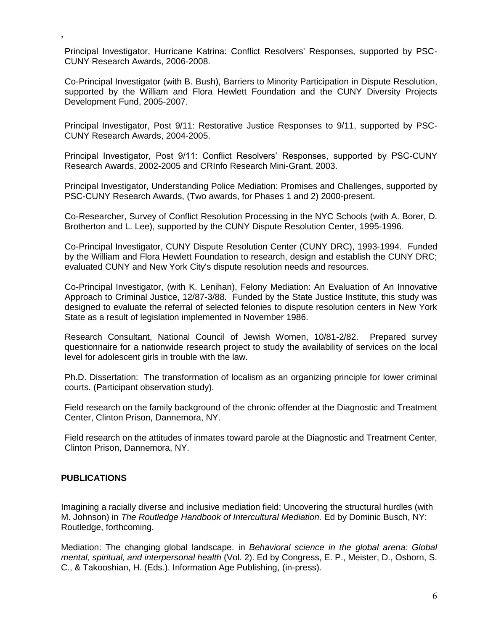Principal Investigator, Hurricane Katrina: Conflict Resolvers' Responses, supported by PSC-CUNY Research Awards, 2006-2008.

Co-Principal Investigator (with B. Bush), Barriers to Minority Participation in Dispute Resolution, supported by the William and Flora Hewlett Foundation and the CUNY Diversity Projects Development Fund, 2005-2007.

Principal Investigator, Post 9/11: Restorative Justice Responses to 9/11, supported by PSC-CUNY Research Awards, 2004-2005.

Principal Investigator, Post 9/11: Conflict Resolvers' Responses, supported by PSC-CUNY Research Awards, 2002-2005 and CRInfo Research Mini-Grant, 2003.

Principal Investigator, Understanding Police Mediation: Promises and Challenges, supported by PSC-CUNY Research Awards, (Two awards, for Phases 1 and 2) 2000-present.

Co-Researcher, Survey of Conflict Resolution Processing in the NYC Schools (with A. Borer, D. Brotherton and L. Lee), supported by the CUNY Dispute Resolution Center, 1995-1996.

Co-Principal Investigator, CUNY Dispute Resolution Center (CUNY DRC), 1993-1994. Funded by the William and Flora Hewlett Foundation to research, design and establish the CUNY DRC; evaluated CUNY and New York City's dispute resolution needs and resources.

Co-Principal Investigator, (with K. Lenihan), Felony Mediation: An Evaluation of An Innovative Approach to Criminal Justice, 12/87-3/88. Funded by the State Justice Institute, this study was designed to evaluate the referral of selected felonies to dispute resolution centers in New York State as a result of legislation implemented in November 1986.

Research Consultant, National Council of Jewish Women, 10/81-2/82. Prepared survey questionnaire for a nationwide research project to study the availability of services on the local level for adolescent girls in trouble with the law.

Ph.D. Dissertation: The transformation of localism as an organizing principle for lower criminal courts. (Participant observation study).

Field research on the family background of the chronic offender at the Diagnostic and Treatment Center, Clinton Prison, Dannemora, NY.

Field research on the attitudes of inmates toward parole at the Diagnostic and Treatment Center, Clinton Prison, Dannemora, NY.

#### **PUBLICATIONS**

,

Imagining a racially diverse and inclusive mediation field: Uncovering the structural hurdles (with M. Johnson) in *The Routledge Handbook of Intercultural Mediation.* Ed by Dominic Busch, NY: Routledge, forthcoming.

Mediation: The changing global landscape. in *Behavioral science in the global arena: Global mental, spiritual, and interpersonal health* (Vol. 2). Ed by Congress, E. P., Meister, D., Osborn, S. C., & Takooshian, H. (Eds.). Information Age Publishing, (in-press).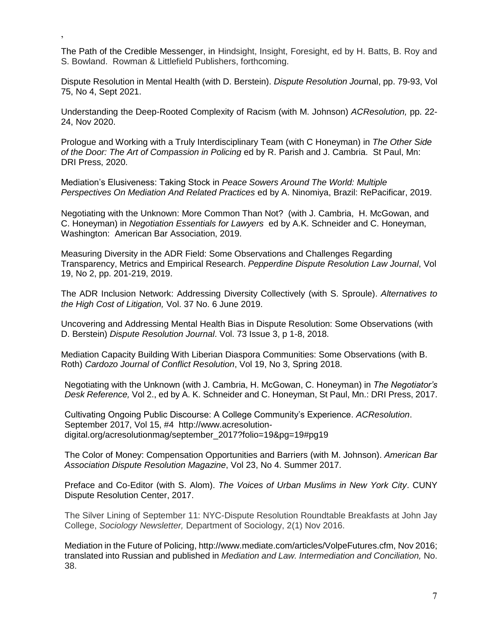The Path of the Credible Messenger, in Hindsight, Insight, Foresight, ed by H. Batts, B. Roy and S. Bowland. Rowman & Littlefield Publishers, forthcoming.

,

Dispute Resolution in Mental Health (with D. Berstein). *Dispute Resolution Jour*nal, pp. 79-93, Vol 75, No 4, Sept 2021.

Understanding the Deep-Rooted Complexity of Racism (with M. Johnson) *ACResolution,* pp. 22- 24, Nov 2020.

Prologue and Working with a Truly Interdisciplinary Team (with C Honeyman) in *The Other Side of the Door: The Art of Compassion in Policing* ed by R. Parish and J. Cambria. St Paul, Mn: DRI Press, 2020.

Mediation's Elusiveness: Taking Stock in *Peace Sowers Around The World: Multiple Perspectives On Mediation And Related Practices* ed by A. Ninomiya, Brazil: RePacificar, 2019.

Negotiating with the Unknown: More Common Than Not? (with J. Cambria, H. McGowan, and C. Honeyman) in *Negotiation Essentials for Lawyers* ed by A.K. Schneider and C. Honeyman, Washington: American Bar Association, 2019.

Measuring Diversity in the ADR Field: Some Observations and Challenges Regarding Transparency, Metrics and Empirical Research. *Pepperdine Dispute Resolution Law Journal*, Vol 19, No 2, pp. 201-219, 2019.

The ADR Inclusion Network: Addressing Diversity Collectively (with S. Sproule). *Alternatives to the High Cost of Litigation,* Vol. 37 No. 6 June 2019.

Uncovering and Addressing Mental Health Bias in Dispute Resolution: Some Observations (with D. Berstein) *Dispute Resolution Journal*. Vol. 73 Issue 3, p 1-8, 2018.

Mediation Capacity Building With Liberian Diaspora Communities: Some Observations (with B. Roth) *Cardozo Journal of Conflict Resolution*, Vol 19, No 3, Spring 2018.

Negotiating with the Unknown (with J. Cambria, H. McGowan, C. Honeyman) in *The Negotiator's Desk Reference,* Vol 2., ed by A. K. Schneider and C. Honeyman, St Paul, Mn.: DRI Press, 2017.

Cultivating Ongoing Public Discourse: A College Community's Experience. *ACResolution*. September 2017, Vol 15, #4 http://www.acresolutiondigital.org/acresolutionmag/september\_2017?folio=19&pg=19#pg19

The Color of Money: Compensation Opportunities and Barriers (with M. Johnson). *American Bar Association Dispute Resolution Magazine*, Vol 23, No 4. Summer 2017.

Preface and Co-Editor (with S. Alom). *The Voices of Urban Muslims in New York City*. CUNY Dispute Resolution Center, 2017.

The Silver Lining of September 11: NYC-Dispute Resolution Roundtable Breakfasts at John Jay College, *Sociology Newsletter,* Department of Sociology, 2(1) Nov 2016.

Mediation in the Future of Policing, http://www.mediate.com/articles/VolpeFutures.cfm, Nov 2016; translated into Russian and published in *Mediation and Law. Intermediation and Conciliation,* No. 38.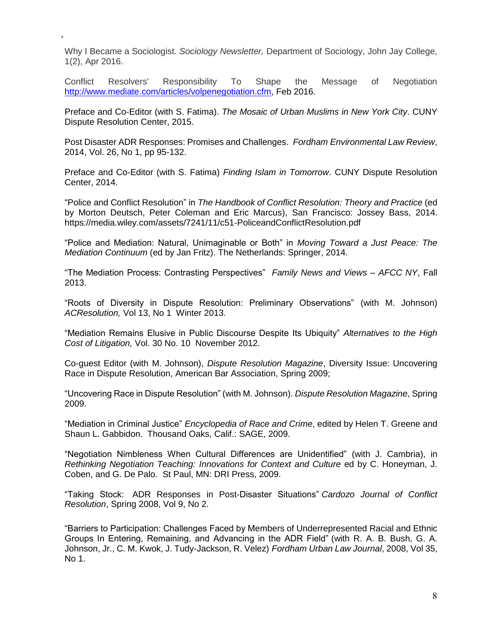Why I Became a Sociologist. *Sociology Newsletter,* Department of Sociology, John Jay College, 1(2), Apr 2016.

,

Conflict Resolvers' Responsibility To Shape the Message of Negotiation [http://www.mediate.com/articles/volpenegotiation.cfm,](http://www.mediate.com/articles/volpenegotiation.cfm) Feb 2016.

Preface and Co-Editor (with S. Fatima). *The Mosaic of Urban Muslims in New York City*. CUNY Dispute Resolution Center, 2015.

Post Disaster ADR Responses: Promises and Challenges. *Fordham Environmental Law Review*, 2014, Vol. 26, No 1, pp 95-132.

Preface and Co-Editor (with S. Fatima) *Finding Islam in Tomorrow*. CUNY Dispute Resolution Center, 2014.

"Police and Conflict Resolution" in *The Handbook of Conflict Resolution: Theory and Practice* (ed by Morton Deutsch, Peter Coleman and Eric Marcus), San Francisco: Jossey Bass, 2014. https://media.wiley.com/assets/7241/11/c51-PoliceandConflictResolution.pdf

"Police and Mediation: Natural, Unimaginable or Both" in *Moving Toward a Just Peace: The Mediation Continuum* (ed by Jan Fritz). The Netherlands: Springer, 2014.

"The Mediation Process: Contrasting Perspectives" *Family News and Views – AFCC NY*, Fall 2013.

"Roots of Diversity in Dispute Resolution: Preliminary Observations" (with M. Johnson) *ACResolution,* Vol 13, No 1 Winter 2013.

"Mediation Remains Elusive in Public Discourse Despite Its Ubiquity" *Alternatives to the High Cost of Litigation,* Vol. 30 No. 10 November 2012.

Co-guest Editor (with M. Johnson), *Dispute Resolution Magazine*, Diversity Issue: Uncovering Race in Dispute Resolution, American Bar Association, Spring 2009;

"Uncovering Race in Dispute Resolution" (with M. Johnson). *Dispute Resolution Magazine*, Spring 2009.

"Mediation in Criminal Justice" *Encyclopedia of Race and Crime*, edited by Helen T. Greene and Shaun L. Gabbidon. Thousand Oaks, Calif.: SAGE, 2009.

"Negotiation Nimbleness When Cultural Differences are Unidentified" (with J. Cambria), in *Rethinking Negotiation Teaching: Innovations for Context and Culture* ed by C. Honeyman, J. Coben, and G. De Palo. St Paul, MN: DRI Press, 2009.

"Taking Stock: ADR Responses in Post-Disaster Situations" *Cardozo Journal of Conflict Resolution*, Spring 2008, Vol 9, No 2.

"Barriers to Participation: Challenges Faced by Members of Underrepresented Racial and Ethnic Groups In Entering, Remaining, and Advancing in the ADR Field" (with R. A. B. Bush, G. A. Johnson, Jr., C. M. Kwok, J. Tudy-Jackson, R. Velez) *Fordham Urban Law Journal*, 2008, Vol 35, No 1.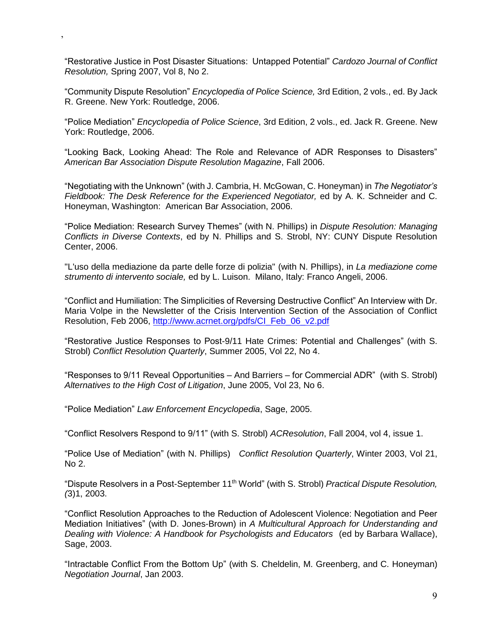"Restorative Justice in Post Disaster Situations: Untapped Potential" *Cardozo Journal of Conflict Resolution,* Spring 2007, Vol 8, No 2.

,

"Community Dispute Resolution" *Encyclopedia of Police Science,* 3rd Edition, 2 vols., ed. By Jack R. Greene. New York: Routledge, 2006.

"Police Mediation" *Encyclopedia of Police Science*, 3rd Edition, 2 vols., ed. Jack R. Greene. New York: Routledge, 2006.

"Looking Back, Looking Ahead: The Role and Relevance of ADR Responses to Disasters" *American Bar Association Dispute Resolution Magazine*, Fall 2006.

"Negotiating with the Unknown" (with J. Cambria, H. McGowan, C. Honeyman) in *The Negotiator's Fieldbook: The Desk Reference for the Experienced Negotiator,* ed by A. K. Schneider and C. Honeyman, Washington: American Bar Association, 2006.

"Police Mediation: Research Survey Themes" (with N. Phillips) in *Dispute Resolution: Managing Conflicts in Diverse Contexts*, ed by N. Phillips and S. Strobl, NY: CUNY Dispute Resolution Center, 2006.

"L'uso della mediazione da parte delle forze di polizia" (with N. Phillips), in *La mediazione come strumento di intervento sociale,* ed by L. Luison. Milano, Italy: Franco Angeli, 2006.

"Conflict and Humiliation: The Simplicities of Reversing Destructive Conflict" An Interview with Dr. Maria Volpe in the Newsletter of the Crisis Intervention Section of the Association of Conflict Resolution, Feb 2006, http://www.acrnet.org/pdfs/CI\_Feb\_06\_v2.pdf

"Restorative Justice Responses to Post-9/11 Hate Crimes: Potential and Challenges" (with S. Strobl) *Conflict Resolution Quarterly*, Summer 2005, Vol 22, No 4.

"Responses to 9/11 Reveal Opportunities – And Barriers – for Commercial ADR" (with S. Strobl) *Alternatives to the High Cost of Litigation*, June 2005, Vol 23, No 6.

"Police Mediation" *Law Enforcement Encyclopedia*, Sage, 2005.

"Conflict Resolvers Respond to 9/11" (with S. Strobl) *ACResolution*, Fall 2004, vol 4, issue 1.

"Police Use of Mediation" (with N. Phillips) *Conflict Resolution Quarterly*, Winter 2003, Vol 21, No 2.

"Dispute Resolvers in a Post-September 11th World" (with S. Strobl) *Practical Dispute Resolution, (*3)1, 2003.

"Conflict Resolution Approaches to the Reduction of Adolescent Violence: Negotiation and Peer Mediation Initiatives" (with D. Jones-Brown) in *A Multicultural Approach for Understanding and Dealing with Violence: A Handbook for Psychologists and Educators* (ed by Barbara Wallace), Sage, 2003.

"Intractable Conflict From the Bottom Up" (with S. Cheldelin, M. Greenberg, and C. Honeyman) *Negotiation Journal*, Jan 2003.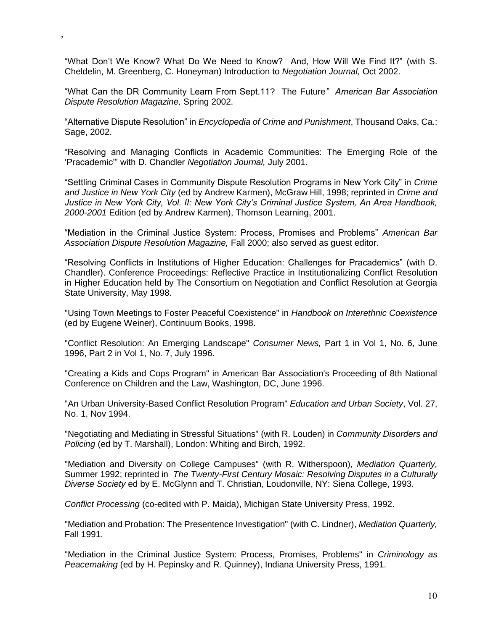"What Don't We Know? What Do We Need to Know? And, How Will We Find It?" (with S. Cheldelin, M. Greenberg, C. Honeyman) Introduction to *Negotiation Journal,* Oct 2002.

,

"What Can the DR Community Learn From Sept.11? The Future*" American Bar Association Dispute Resolution Magazine,* Spring 2002.

"Alternative Dispute Resolution" in *Encyclopedia of Crime and Punishment*, Thousand Oaks, Ca.: Sage, 2002.

"Resolving and Managing Conflicts in Academic Communities: The Emerging Role of the 'Pracademic'" with D. Chandler *Negotiation Journal,* July 2001.

"Settling Criminal Cases in Community Dispute Resolution Programs in New York City" in *Crime and Justice in New York City* (ed by Andrew Karmen), McGraw Hill, 1998; reprinted in *Crime and Justice in New York City, Vol. II: New York City's Criminal Justice System, An Area Handbook, 2000-2001* Edition (ed by Andrew Karmen), Thomson Learning, 2001.

"Mediation in the Criminal Justice System: Process, Promises and Problems" *American Bar Association Dispute Resolution Magazine,* Fall 2000; also served as guest editor.

"Resolving Conflicts in Institutions of Higher Education: Challenges for Pracademics" (with D. Chandler). Conference Proceedings: Reflective Practice in Institutionalizing Conflict Resolution in Higher Education held by The Consortium on Negotiation and Conflict Resolution at Georgia State University, May 1998.

"Using Town Meetings to Foster Peaceful Coexistence" in *Handbook on Interethnic Coexistence*  (ed by Eugene Weiner), Continuum Books, 1998.

"Conflict Resolution: An Emerging Landscape" *Consumer News,* Part 1 in Vol 1, No. 6, June 1996, Part 2 in Vol 1, No. 7, July 1996.

"Creating a Kids and Cops Program" in American Bar Association's Proceeding of 8th National Conference on Children and the Law, Washington, DC, June 1996.

"An Urban University-Based Conflict Resolution Program" *Education and Urban Society*, Vol. 27, No. 1, Nov 1994.

"Negotiating and Mediating in Stressful Situations" (with R. Louden) in *Community Disorders and Policing* (ed by T. Marshall), London: Whiting and Birch, 1992.

"Mediation and Diversity on College Campuses" (with R. Witherspoon), *Mediation Quarterly,* Summer 1992; reprinted in *The Twenty-First Century Mosaic: Resolving Disputes in a Culturally Diverse Society* ed by E. McGlynn and T. Christian, Loudonville, NY: Siena College, 1993.

*Conflict Processing* (co-edited with P. Maida), Michigan State University Press, 1992.

"Mediation and Probation: The Presentence Investigation" (with C. Lindner), *Mediation Quarterly,* Fall 1991.

"Mediation in the Criminal Justice System: Process, Promises, Problems" in *Criminology as Peacemaking* (ed by H. Pepinsky and R. Quinney), Indiana University Press, 1991.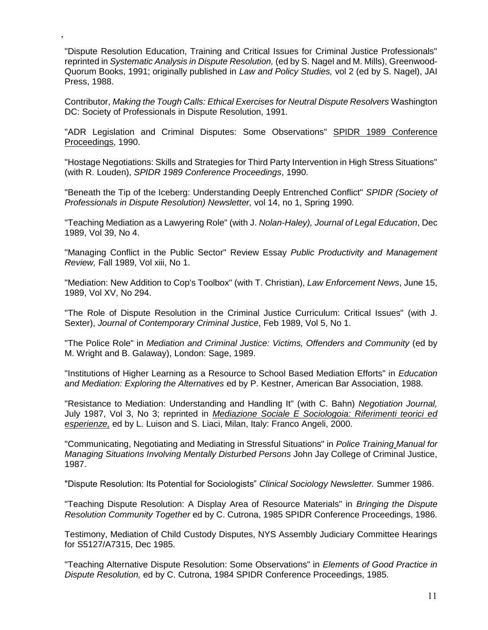"Dispute Resolution Education, Training and Critical Issues for Criminal Justice Professionals" reprinted in *Systematic Analysis in Dispute Resolution,* (ed by S. Nagel and M. Mills), Greenwood-Quorum Books, 1991; originally published in *Law and Policy Studies,* vol 2 (ed by S. Nagel), JAI Press, 1988.

,

Contributor, *Making the Tough Calls: Ethical Exercises for Neutral Dispute Resolvers* Washington DC: Society of Professionals in Dispute Resolution, 1991.

"ADR Legislation and Criminal Disputes: Some Observations" SPIDR 1989 Conference Proceedings, 1990.

"Hostage Negotiations: Skills and Strategies for Third Party Intervention in High Stress Situations" (with R. Louden), *SPIDR 1989 Conference Proceedings*, 1990.

"Beneath the Tip of the Iceberg: Understanding Deeply Entrenched Conflict" *SPIDR (Society of Professionals in Dispute Resolution) Newsletter,* vol 14, no 1, Spring 1990.

"Teaching Mediation as a Lawyering Role" (with J. *Nolan-Haley), Journal of Legal Education*, Dec 1989, Vol 39, No 4.

"Managing Conflict in the Public Sector" Review Essay *Public Productivity and Management Review,* Fall 1989, Vol xiii, No 1.

"Mediation: New Addition to Cop's Toolbox" (with T. Christian), *Law Enforcement News*, June 15, 1989, Vol XV, No 294.

"The Role of Dispute Resolution in the Criminal Justice Curriculum: Critical Issues" (with J. Sexter), *Journal of Contemporary Criminal Justice*, Feb 1989, Vol 5, No 1.

"The Police Role" in *Mediation and Criminal Justice: Victims, Offenders and Community* (ed by M. Wright and B. Galaway), London: Sage, 1989.

"Institutions of Higher Learning as a Resource to School Based Mediation Efforts" in *Education and Mediation: Exploring the Alternatives* ed by P. Kestner, American Bar Association, 1988.

"Resistance to Mediation: Understanding and Handling It" (with C. Bahn) *Negotiation Journal,*  July 1987, Vol 3, No 3; reprinted in *Mediazione Sociale E Sociologoia: Riferimenti teorici ed esperienze,* ed by L. Luison and S. Liaci, Milan, Italy: Franco Angeli, 2000.

"Communicating, Negotiating and Mediating in Stressful Situations" in *Police Training Manual for Managing Situations Involving Mentally Disturbed Persons* John Jay College of Criminal Justice, 1987.

"Dispute Resolution: Its Potential for Sociologists" *Clinical Sociology Newsletter.* Summer 1986.

"Teaching Dispute Resolution: A Display Area of Resource Materials" in *Bringing the Dispute Resolution Community Together* ed by C. Cutrona, 1985 SPIDR Conference Proceedings, 1986.

Testimony, Mediation of Child Custody Disputes, NYS Assembly Judiciary Committee Hearings for S5127/A7315, Dec 1985.

"Teaching Alternative Dispute Resolution: Some Observations" in *Elements of Good Practice in Dispute Resolution,* ed by C. Cutrona, 1984 SPIDR Conference Proceedings, 1985.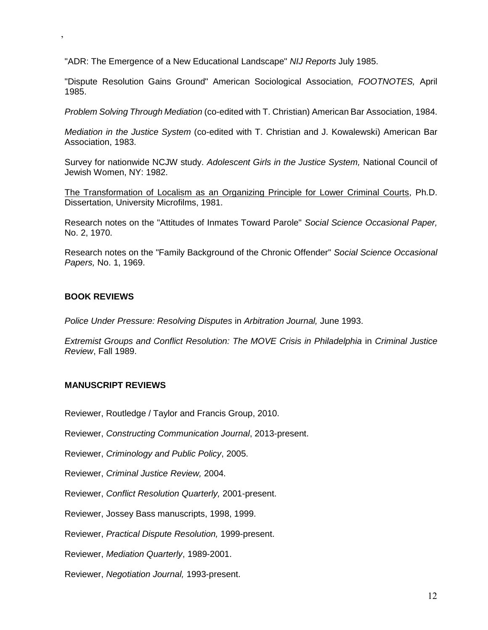"ADR: The Emergence of a New Educational Landscape" *NIJ Reports* July 1985.

"Dispute Resolution Gains Ground" American Sociological Association, *FOOTNOTES,* April 1985.

*Problem Solving Through Mediation* (co-edited with T. Christian) American Bar Association, 1984.

*Mediation in the Justice System* (co-edited with T. Christian and J. Kowalewski) American Bar Association, 1983.

Survey for nationwide NCJW study. *Adolescent Girls in the Justice System,* National Council of Jewish Women, NY: 1982.

The Transformation of Localism as an Organizing Principle for Lower Criminal Courts, Ph.D. Dissertation, University Microfilms, 1981.

Research notes on the "Attitudes of Inmates Toward Parole" *Social Science Occasional Paper,*  No. 2, 1970.

Research notes on the "Family Background of the Chronic Offender" *Social Science Occasional Papers,* No. 1, 1969.

#### **BOOK REVIEWS**

,

*Police Under Pressure: Resolving Disputes* in *Arbitration Journal,* June 1993.

*Extremist Groups and Conflict Resolution: The MOVE Crisis in Philadelphia* in *Criminal Justice Review*, Fall 1989.

#### **MANUSCRIPT REVIEWS**

Reviewer, Routledge / Taylor and Francis Group, 2010.

Reviewer, *Constructing Communication Journal*, 2013-present.

Reviewer, *Criminology and Public Policy*, 2005.

Reviewer, *Criminal Justice Review,* 2004.

Reviewer, *Conflict Resolution Quarterly,* 2001-present.

Reviewer, Jossey Bass manuscripts, 1998, 1999.

Reviewer, *Practical Dispute Resolution,* 1999-present.

Reviewer, *Mediation Quarterly*, 1989-2001.

Reviewer, *Negotiation Journal,* 1993-present.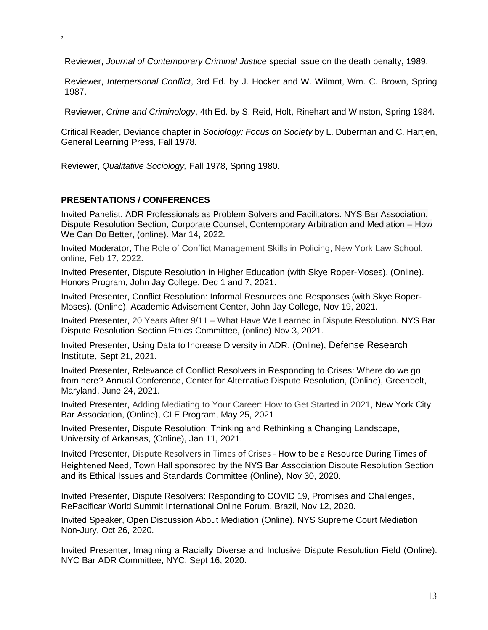Reviewer, *Journal of Contemporary Criminal Justice* special issue on the death penalty, 1989.

Reviewer, *Interpersonal Conflict*, 3rd Ed. by J. Hocker and W. Wilmot, Wm. C. Brown, Spring 1987.

Reviewer, *Crime and Criminology*, 4th Ed. by S. Reid, Holt, Rinehart and Winston, Spring 1984.

Critical Reader, Deviance chapter in *Sociology: Focus on Society* by L. Duberman and C. Hartjen, General Learning Press, Fall 1978.

Reviewer, *Qualitative Sociology,* Fall 1978, Spring 1980.

#### **PRESENTATIONS / CONFERENCES**

,

Invited Panelist, ADR Professionals as Problem Solvers and Facilitators. NYS Bar Association, Dispute Resolution Section, Corporate Counsel, Contemporary Arbitration and Mediation – How We Can Do Better, (online). Mar 14, 2022.

Invited Moderator, The Role of Conflict Management Skills in Policing, New York Law School, online, Feb 17, 2022.

Invited Presenter, Dispute Resolution in Higher Education (with Skye Roper-Moses), (Online). Honors Program, John Jay College, Dec 1 and 7, 2021.

Invited Presenter, Conflict Resolution: Informal Resources and Responses (with Skye Roper-Moses). (Online). Academic Advisement Center, John Jay College, Nov 19, 2021.

Invited Presenter, 20 Years After 9/11 – What Have We Learned in Dispute Resolution. NYS Bar Dispute Resolution Section Ethics Committee, (online) Nov 3, 2021.

Invited Presenter, Using Data to Increase Diversity in ADR, (Online), Defense Research Institute, Sept 21, 2021.

Invited Presenter, Relevance of Conflict Resolvers in Responding to Crises: Where do we go from here? Annual Conference, Center for Alternative Dispute Resolution, (Online), Greenbelt, Maryland, June 24, 2021.

Invited Presenter, Adding Mediating to Your Career: How to Get Started in 2021, New York City Bar Association, (Online), CLE Program, May 25, 2021

Invited Presenter, Dispute Resolution: Thinking and Rethinking a Changing Landscape, University of Arkansas, (Online), Jan 11, 2021.

Invited Presenter, Dispute Resolvers in Times of Crises - How to be a Resource During Times of Heightened Need, Town Hall sponsored by the NYS Bar Association Dispute Resolution Section and its Ethical Issues and Standards Committee (Online), Nov 30, 2020.

Invited Presenter, Dispute Resolvers: Responding to COVID 19, Promises and Challenges, RePacificar World Summit International Online Forum, Brazil, Nov 12, 2020.

Invited Speaker, Open Discussion About Mediation (Online). NYS Supreme Court Mediation Non-Jury, Oct 26, 2020.

Invited Presenter, Imagining a Racially Diverse and Inclusive Dispute Resolution Field (Online). NYC Bar ADR Committee, NYC, Sept 16, 2020.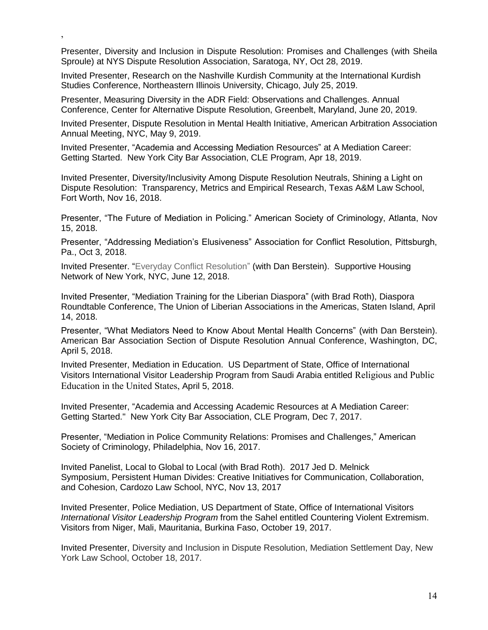Presenter, Diversity and Inclusion in Dispute Resolution: Promises and Challenges (with Sheila Sproule) at NYS Dispute Resolution Association, Saratoga, NY, Oct 28, 2019.

Invited Presenter, Research on the Nashville Kurdish Community at the International Kurdish Studies Conference, Northeastern Illinois University, Chicago, July 25, 2019.

,

Presenter, Measuring Diversity in the ADR Field: Observations and Challenges. Annual Conference, Center for Alternative Dispute Resolution, Greenbelt, Maryland, June 20, 2019.

Invited Presenter, Dispute Resolution in Mental Health Initiative, American Arbitration Association Annual Meeting, NYC, May 9, 2019.

Invited Presenter, "Academia and Accessing Mediation Resources" at A Mediation Career: Getting Started. New York City Bar Association, CLE Program, Apr 18, 2019.

Invited Presenter, Diversity/Inclusivity Among Dispute Resolution Neutrals, Shining a Light on Dispute Resolution: Transparency, Metrics and Empirical Research, Texas A&M Law School, Fort Worth, Nov 16, 2018.

Presenter, "The Future of Mediation in Policing." American Society of Criminology, Atlanta, Nov 15, 2018.

Presenter, "Addressing Mediation's Elusiveness" Association for Conflict Resolution, Pittsburgh, Pa., Oct 3, 2018.

Invited Presenter. "Everyday Conflict Resolution" (with Dan Berstein). Supportive Housing Network of New York, NYC, June 12, 2018.

Invited Presenter, "Mediation Training for the Liberian Diaspora" (with Brad Roth), Diaspora Roundtable Conference, The Union of Liberian Associations in the Americas, Staten Island, April 14, 2018.

Presenter, "What Mediators Need to Know About Mental Health Concerns" (with Dan Berstein). American Bar Association Section of Dispute Resolution Annual Conference, Washington, DC, April 5, 2018.

Invited Presenter, Mediation in Education. US Department of State, Office of International Visitors International Visitor Leadership Program from Saudi Arabia entitled Religious and Public Education in the United States, April 5, 2018.

Invited Presenter, "Academia and Accessing Academic Resources at A Mediation Career: Getting Started." New York City Bar Association, CLE Program, Dec 7, 2017.

Presenter, "Mediation in Police Community Relations: Promises and Challenges," American Society of Criminology, Philadelphia, Nov 16, 2017.

Invited Panelist, Local to Global to Local (with Brad Roth). 2017 Jed D. Melnick Symposium, Persistent Human Divides: Creative Initiatives for Communication, Collaboration, and Cohesion, Cardozo Law School, NYC, Nov 13, 2017

Invited Presenter, Police Mediation, US Department of State, Office of International Visitors *International Visitor Leadership Program* from the Sahel entitled Countering Violent Extremism. Visitors from Niger, Mali, Mauritania, Burkina Faso, October 19, 2017.

Invited Presenter, Diversity and Inclusion in Dispute Resolution, Mediation Settlement Day, New York Law School, October 18, 2017.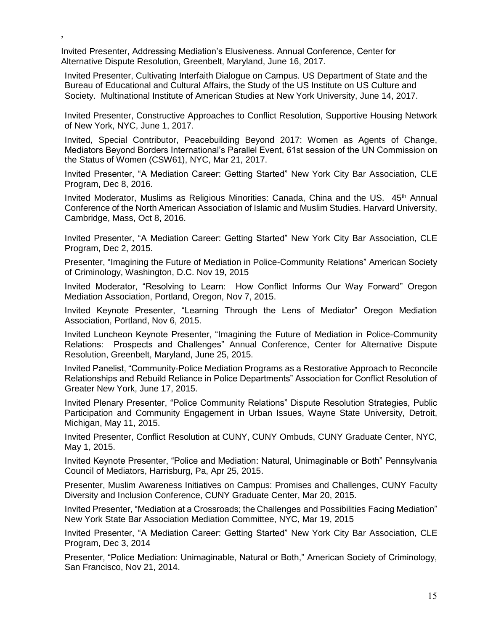Invited Presenter, Addressing Mediation's Elusiveness. Annual Conference, Center for Alternative Dispute Resolution, Greenbelt, Maryland, June 16, 2017.

,

Invited Presenter, Cultivating Interfaith Dialogue on Campus. US Department of State and the Bureau of Educational and Cultural Affairs, the Study of the US Institute on US Culture and Society. Multinational Institute of American Studies at New York University, June 14, 2017.

Invited Presenter, Constructive Approaches to Conflict Resolution, Supportive Housing Network of New York, NYC, June 1, 2017.

Invited, Special Contributor, Peacebuilding Beyond 2017: Women as Agents of Change, Mediators Beyond Borders International's Parallel Event, 61st session of the UN Commission on the Status of Women (CSW61), NYC, Mar 21, 2017.

Invited Presenter, "A Mediation Career: Getting Started" New York City Bar Association, CLE Program, Dec 8, 2016.

Invited Moderator, Muslims as Religious Minorities: Canada, China and the US. 45<sup>th</sup> Annual Conference of the North American Association of Islamic and Muslim Studies. Harvard University, Cambridge, Mass, Oct 8, 2016.

Invited Presenter, "A Mediation Career: Getting Started" New York City Bar Association, CLE Program, Dec 2, 2015.

Presenter, "Imagining the Future of Mediation in Police-Community Relations" American Society of Criminology, Washington, D.C. Nov 19, 2015

Invited Moderator, "Resolving to Learn: How Conflict Informs Our Way Forward" Oregon Mediation Association, Portland, Oregon, Nov 7, 2015.

Invited Keynote Presenter, "Learning Through the Lens of Mediator" Oregon Mediation Association, Portland, Nov 6, 2015.

Invited Luncheon Keynote Presenter, "Imagining the Future of Mediation in Police-Community Relations: Prospects and Challenges" Annual Conference, Center for Alternative Dispute Resolution, Greenbelt, Maryland, June 25, 2015.

Invited Panelist, "Community-Police Mediation Programs as a Restorative Approach to Reconcile Relationships and Rebuild Reliance in Police Departments" Association for Conflict Resolution of Greater New York, June 17, 2015.

Invited Plenary Presenter, "Police Community Relations" Dispute Resolution Strategies, Public Participation and Community Engagement in Urban Issues, Wayne State University, Detroit, Michigan, May 11, 2015.

Invited Presenter, Conflict Resolution at CUNY, CUNY Ombuds, CUNY Graduate Center, NYC, May 1, 2015.

Invited Keynote Presenter, "Police and Mediation: Natural, Unimaginable or Both" Pennsylvania Council of Mediators, Harrisburg, Pa, Apr 25, 2015.

Presenter, Muslim Awareness Initiatives on Campus: Promises and Challenges, CUNY Faculty Diversity and Inclusion Conference, CUNY Graduate Center, Mar 20, 2015.

Invited Presenter, "Mediation at a Crossroads; the Challenges and Possibilities Facing Mediation" New York State Bar Association Mediation Committee, NYC, Mar 19, 2015

Invited Presenter, "A Mediation Career: Getting Started" New York City Bar Association, CLE Program, Dec 3, 2014

Presenter, "Police Mediation: Unimaginable, Natural or Both," American Society of Criminology, San Francisco, Nov 21, 2014.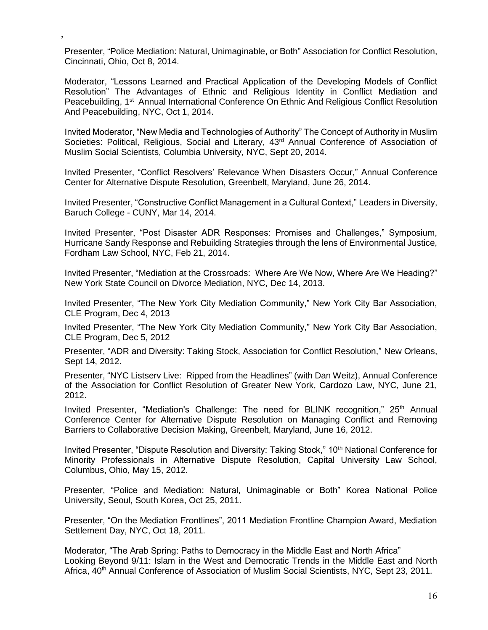Presenter, "Police Mediation: Natural, Unimaginable, or Both" Association for Conflict Resolution, Cincinnati, Ohio, Oct 8, 2014.

,

Moderator, "Lessons Learned and Practical Application of the Developing Models of Conflict Resolution" The Advantages of Ethnic and Religious Identity in Conflict Mediation and Peacebuilding, 1<sup>st</sup> Annual International Conference On Ethnic And Religious Conflict Resolution And Peacebuilding, NYC, Oct 1, 2014.

Invited Moderator, "New Media and Technologies of Authority" The Concept of Authority in Muslim Societies: Political, Religious, Social and Literary, 43<sup>rd</sup> Annual Conference of Association of Muslim Social Scientists, Columbia University, NYC, Sept 20, 2014.

Invited Presenter, "Conflict Resolvers' Relevance When Disasters Occur," Annual Conference Center for Alternative Dispute Resolution, Greenbelt, Maryland, June 26, 2014.

Invited Presenter, "Constructive Conflict Management in a Cultural Context," Leaders in Diversity, Baruch College - CUNY, Mar 14, 2014.

Invited Presenter, "Post Disaster ADR Responses: Promises and Challenges," Symposium, Hurricane Sandy Response and Rebuilding Strategies through the lens of Environmental Justice, Fordham Law School, NYC, Feb 21, 2014.

Invited Presenter, "Mediation at the Crossroads: Where Are We Now, Where Are We Heading?" New York State Council on Divorce Mediation, NYC, Dec 14, 2013.

Invited Presenter, "The New York City Mediation Community," New York City Bar Association, CLE Program, Dec 4, 2013

Invited Presenter, "The New York City Mediation Community," New York City Bar Association, CLE Program, Dec 5, 2012

Presenter, "ADR and Diversity: Taking Stock, Association for Conflict Resolution," New Orleans, Sept 14, 2012.

Presenter, "NYC Listserv Live: Ripped from the Headlines" (with Dan Weitz), Annual Conference of the Association for Conflict Resolution of Greater New York, Cardozo Law, NYC, June 21, 2012.

Invited Presenter, "Mediation's Challenge: The need for BLINK recognition," 25<sup>th</sup> Annual Conference Center for Alternative Dispute Resolution on Managing Conflict and Removing Barriers to Collaborative Decision Making, Greenbelt, Maryland, June 16, 2012.

Invited Presenter, "Dispute Resolution and Diversity: Taking Stock," 10<sup>th</sup> National Conference for Minority Professionals in Alternative Dispute Resolution, Capital University Law School, Columbus, Ohio, May 15, 2012.

Presenter, "Police and Mediation: Natural, Unimaginable or Both" Korea National Police University, Seoul, South Korea, Oct 25, 2011.

Presenter, "On the Mediation Frontlines", 2011 Mediation Frontline Champion Award, Mediation Settlement Day, NYC, Oct 18, 2011.

Moderator, "The Arab Spring: Paths to Democracy in the Middle East and North Africa" Looking Beyond 9/11: Islam in the West and Democratic Trends in the Middle East and North Africa, 40<sup>th</sup> Annual Conference of Association of Muslim Social Scientists, NYC, Sept 23, 2011.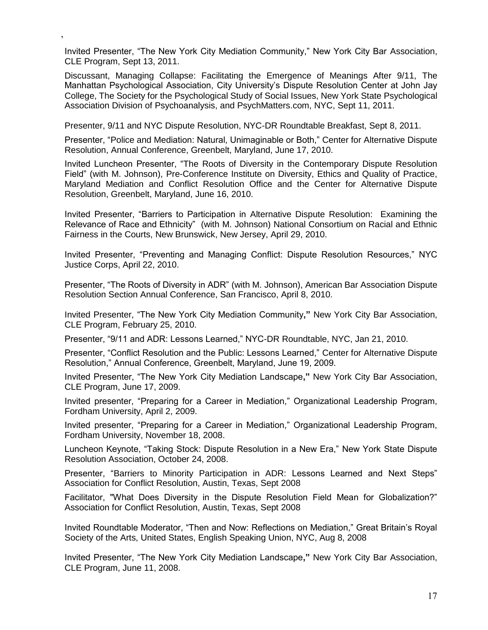Invited Presenter, "The New York City Mediation Community," New York City Bar Association, CLE Program, Sept 13, 2011.

,

Discussant, Managing Collapse: Facilitating the Emergence of Meanings After 9/11, The Manhattan Psychological Association, City University's Dispute Resolution Center at John Jay College, The Society for the Psychological Study of Social Issues, New York State Psychological Association Division of Psychoanalysis, and PsychMatters.com, NYC, Sept 11, 2011.

Presenter, 9/11 and NYC Dispute Resolution, NYC-DR Roundtable Breakfast, Sept 8, 2011.

Presenter, "Police and Mediation: Natural, Unimaginable or Both," Center for Alternative Dispute Resolution, Annual Conference, Greenbelt, Maryland, June 17, 2010.

Invited Luncheon Presenter, "The Roots of Diversity in the Contemporary Dispute Resolution Field" (with M. Johnson), Pre-Conference Institute on Diversity, Ethics and Quality of Practice, Maryland Mediation and Conflict Resolution Office and the Center for Alternative Dispute Resolution, Greenbelt, Maryland, June 16, 2010.

Invited Presenter, "Barriers to Participation in Alternative Dispute Resolution: Examining the Relevance of Race and Ethnicity" (with M. Johnson) National Consortium on Racial and Ethnic Fairness in the Courts, New Brunswick, New Jersey, April 29, 2010.

Invited Presenter, "Preventing and Managing Conflict: Dispute Resolution Resources," NYC Justice Corps, April 22, 2010.

Presenter, "The Roots of Diversity in ADR" (with M. Johnson), American Bar Association Dispute Resolution Section Annual Conference, San Francisco, April 8, 2010.

Invited Presenter, "The New York City Mediation Community**,"** New York City Bar Association, CLE Program, February 25, 2010.

Presenter, "9/11 and ADR: Lessons Learned," NYC-DR Roundtable, NYC, Jan 21, 2010.

Presenter, "Conflict Resolution and the Public: Lessons Learned," Center for Alternative Dispute Resolution," Annual Conference, Greenbelt, Maryland, June 19, 2009.

Invited Presenter, "The New York City Mediation Landscape**,"** New York City Bar Association, CLE Program, June 17, 2009.

Invited presenter, "Preparing for a Career in Mediation," Organizational Leadership Program, Fordham University, April 2, 2009.

Invited presenter, "Preparing for a Career in Mediation," Organizational Leadership Program, Fordham University, November 18, 2008.

Luncheon Keynote, "Taking Stock: Dispute Resolution in a New Era," New York State Dispute Resolution Association, October 24, 2008.

Presenter, "Barriers to Minority Participation in ADR: Lessons Learned and Next Steps" Association for Conflict Resolution, Austin, Texas, Sept 2008

Facilitator, "What Does Diversity in the Dispute Resolution Field Mean for Globalization?" Association for Conflict Resolution, Austin, Texas, Sept 2008

Invited Roundtable Moderator, "Then and Now: Reflections on Mediation," Great Britain's Royal Society of the Arts, United States, English Speaking Union, NYC, Aug 8, 2008

Invited Presenter, "The New York City Mediation Landscape**,"** New York City Bar Association, CLE Program, June 11, 2008.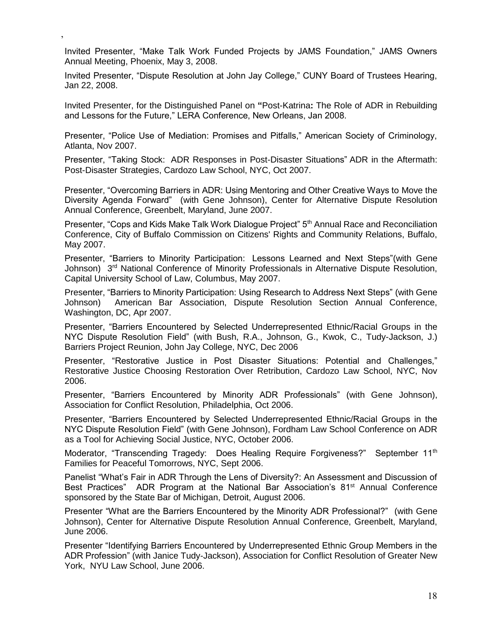Invited Presenter, "Make Talk Work Funded Projects by JAMS Foundation," JAMS Owners Annual Meeting, Phoenix, May 3, 2008.

,

Invited Presenter, "Dispute Resolution at John Jay College," CUNY Board of Trustees Hearing, Jan 22, 2008.

Invited Presenter, for the Distinguished Panel on **"**Post-Katrina**:** The Role of ADR in Rebuilding and Lessons for the Future," LERA Conference, New Orleans, Jan 2008.

Presenter, "Police Use of Mediation: Promises and Pitfalls," American Society of Criminology, Atlanta, Nov 2007.

Presenter, "Taking Stock: ADR Responses in Post-Disaster Situations" ADR in the Aftermath: Post-Disaster Strategies, Cardozo Law School, NYC, Oct 2007.

Presenter, "Overcoming Barriers in ADR: Using Mentoring and Other Creative Ways to Move the Diversity Agenda Forward" (with Gene Johnson), Center for Alternative Dispute Resolution Annual Conference, Greenbelt, Maryland, June 2007.

Presenter, "Cops and Kids Make Talk Work Dialogue Project" 5<sup>th</sup> Annual Race and Reconciliation Conference, City of Buffalo Commission on Citizens' Rights and Community Relations, Buffalo, May 2007.

Presenter, "Barriers to Minority Participation: Lessons Learned and Next Steps"(with Gene Johnson) 3<sup>rd</sup> National Conference of Minority Professionals in Alternative Dispute Resolution, Capital University School of Law, Columbus, May 2007.

Presenter, "Barriers to Minority Participation: Using Research to Address Next Steps" (with Gene Johnson) American Bar Association, Dispute Resolution Section Annual Conference, Washington, DC, Apr 2007.

Presenter, "Barriers Encountered by Selected Underrepresented Ethnic/Racial Groups in the NYC Dispute Resolution Field" (with Bush, R.A., Johnson, G., Kwok, C., Tudy-Jackson, J.) Barriers Project Reunion, John Jay College, NYC, Dec 2006

Presenter, "Restorative Justice in Post Disaster Situations: Potential and Challenges," Restorative Justice Choosing Restoration Over Retribution, Cardozo Law School, NYC, Nov 2006.

Presenter, "Barriers Encountered by Minority ADR Professionals" (with Gene Johnson), Association for Conflict Resolution, Philadelphia, Oct 2006.

Presenter, "Barriers Encountered by Selected Underrepresented Ethnic/Racial Groups in the NYC Dispute Resolution Field" (with Gene Johnson), Fordham Law School Conference on ADR as a Tool for Achieving Social Justice, NYC, October 2006.

Moderator, "Transcending Tragedy: Does Healing Require Forgiveness?" September 11<sup>th</sup> Families for Peaceful Tomorrows, NYC, Sept 2006.

Panelist "What's Fair in ADR Through the Lens of Diversity?: An Assessment and Discussion of Best Practices" ADR Program at the National Bar Association's 81<sup>st</sup> Annual Conference sponsored by the State Bar of Michigan, Detroit, August 2006.

Presenter "What are the Barriers Encountered by the Minority ADR Professional?" (with Gene Johnson), Center for Alternative Dispute Resolution Annual Conference, Greenbelt, Maryland, June 2006.

Presenter "Identifying Barriers Encountered by Underrepresented Ethnic Group Members in the ADR Profession" (with Janice Tudy-Jackson), Association for Conflict Resolution of Greater New York, NYU Law School, June 2006.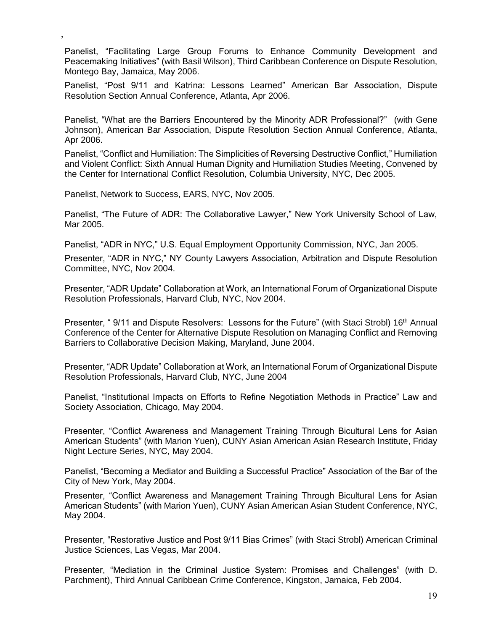Panelist, "Facilitating Large Group Forums to Enhance Community Development and Peacemaking Initiatives" (with Basil Wilson), Third Caribbean Conference on Dispute Resolution, Montego Bay, Jamaica, May 2006.

Panelist, "Post 9/11 and Katrina: Lessons Learned" American Bar Association, Dispute Resolution Section Annual Conference, Atlanta, Apr 2006.

Panelist, "What are the Barriers Encountered by the Minority ADR Professional?" (with Gene Johnson), American Bar Association, Dispute Resolution Section Annual Conference, Atlanta, Apr 2006.

Panelist, "Conflict and Humiliation: The Simplicities of Reversing Destructive Conflict," Humiliation and Violent Conflict: Sixth Annual Human Dignity and Humiliation Studies Meeting, Convened by the Center for International Conflict Resolution, Columbia University, NYC, Dec 2005.

Panelist, Network to Success, EARS, NYC, Nov 2005.

,

Panelist, "The Future of ADR: The Collaborative Lawyer," New York University School of Law, Mar 2005.

Panelist, "ADR in NYC," U.S. Equal Employment Opportunity Commission, NYC, Jan 2005.

Presenter, "ADR in NYC," NY County Lawyers Association, Arbitration and Dispute Resolution Committee, NYC, Nov 2004.

Presenter, "ADR Update" Collaboration at Work, an International Forum of Organizational Dispute Resolution Professionals, Harvard Club, NYC, Nov 2004.

Presenter, " 9/11 and Dispute Resolvers: Lessons for the Future" (with Staci Strobl) 16<sup>th</sup> Annual Conference of the Center for Alternative Dispute Resolution on Managing Conflict and Removing Barriers to Collaborative Decision Making, Maryland, June 2004.

Presenter, "ADR Update" Collaboration at Work, an International Forum of Organizational Dispute Resolution Professionals, Harvard Club, NYC, June 2004

Panelist, "Institutional Impacts on Efforts to Refine Negotiation Methods in Practice" Law and Society Association, Chicago, May 2004.

Presenter, "Conflict Awareness and Management Training Through Bicultural Lens for Asian American Students" (with Marion Yuen), CUNY Asian American Asian Research Institute, Friday Night Lecture Series, NYC, May 2004.

Panelist, "Becoming a Mediator and Building a Successful Practice" Association of the Bar of the City of New York, May 2004.

Presenter, "Conflict Awareness and Management Training Through Bicultural Lens for Asian American Students" (with Marion Yuen), CUNY Asian American Asian Student Conference, NYC, May 2004.

Presenter, "Restorative Justice and Post 9/11 Bias Crimes" (with Staci Strobl) American Criminal Justice Sciences, Las Vegas, Mar 2004.

Presenter, "Mediation in the Criminal Justice System: Promises and Challenges" (with D. Parchment), Third Annual Caribbean Crime Conference, Kingston, Jamaica, Feb 2004.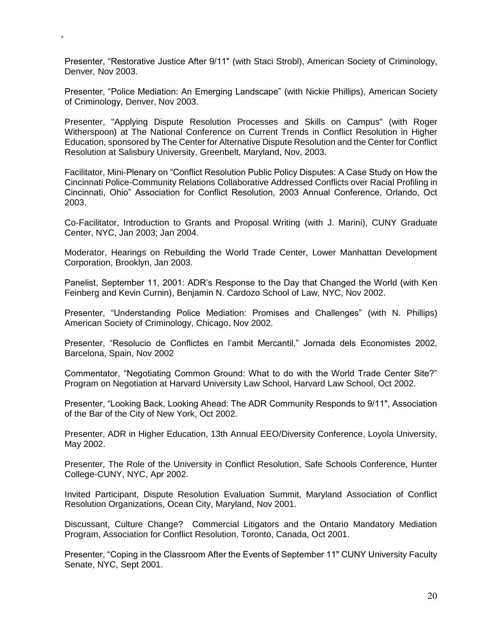Presenter, "Restorative Justice After 9/11" (with Staci Strobl), American Society of Criminology, Denver, Nov 2003.

,

Presenter, "Police Mediation: An Emerging Landscape" (with Nickie Phillips), American Society of Criminology, Denver, Nov 2003.

Presenter, "Applying Dispute Resolution Processes and Skills on Campus" (with Roger Witherspoon) at The National Conference on Current Trends in Conflict Resolution in Higher Education, sponsored by The Center for Alternative Dispute Resolution and the Center for Conflict Resolution at Salisbury University, Greenbelt, Maryland, Nov, 2003.

Facilitator, Mini-Plenary on "Conflict Resolution Public Policy Disputes: A Case Study on How the Cincinnati Police-Community Relations Collaborative Addressed Conflicts over Racial Profiling in Cincinnati, Ohio" Association for Conflict Resolution, 2003 Annual Conference, Orlando, Oct 2003.

Co-Facilitator, Introduction to Grants and Proposal Writing (with J. Marini), CUNY Graduate Center, NYC, Jan 2003; Jan 2004.

Moderator, Hearings on Rebuilding the World Trade Center, Lower Manhattan Development Corporation, Brooklyn, Jan 2003.

Panelist, September 11, 2001: ADR's Response to the Day that Changed the World (with Ken Feinberg and Kevin Curnin), Benjamin N. Cardozo School of Law, NYC, Nov 2002.

Presenter, "Understanding Police Mediation: Promises and Challenges" (with N. Phillips) American Society of Criminology, Chicago, Nov 2002.

Presenter, "Resolucio de Conflictes en l'ambit Mercantil," Jornada dels Economistes 2002, Barcelona, Spain, Nov 2002

Commentator, "Negotiating Common Ground: What to do with the World Trade Center Site?" Program on Negotiation at Harvard University Law School, Harvard Law School, Oct 2002.

Presenter, "Looking Back, Looking Ahead: The ADR Community Responds to 9/11", Association of the Bar of the City of New York, Oct 2002.

Presenter, ADR in Higher Education, 13th Annual EEO/Diversity Conference, Loyola University, May 2002.

Presenter, The Role of the University in Conflict Resolution, Safe Schools Conference, Hunter College-CUNY, NYC, Apr 2002.

Invited Participant, Dispute Resolution Evaluation Summit, Maryland Association of Conflict Resolution Organizations, Ocean City, Maryland, Nov 2001.

Discussant, Culture Change? Commercial Litigators and the Ontario Mandatory Mediation Program, Association for Conflict Resolution, Toronto, Canada, Oct 2001.

Presenter, "Coping in the Classroom After the Events of September 11" CUNY University Faculty Senate, NYC, Sept 2001.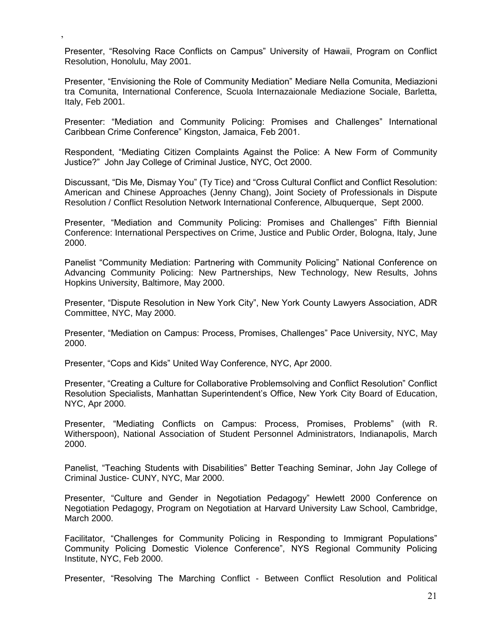Presenter, "Resolving Race Conflicts on Campus" University of Hawaii, Program on Conflict Resolution, Honolulu, May 2001.

,

Presenter, "Envisioning the Role of Community Mediation" Mediare Nella Comunita, Mediazioni tra Comunita, International Conference, Scuola Internazaionale Mediazione Sociale, Barletta, Italy, Feb 2001.

Presenter: "Mediation and Community Policing: Promises and Challenges" International Caribbean Crime Conference" Kingston, Jamaica, Feb 2001.

Respondent, "Mediating Citizen Complaints Against the Police: A New Form of Community Justice?" John Jay College of Criminal Justice, NYC, Oct 2000.

Discussant, "Dis Me, Dismay You" (Ty Tice) and "Cross Cultural Conflict and Conflict Resolution: American and Chinese Approaches (Jenny Chang), Joint Society of Professionals in Dispute Resolution / Conflict Resolution Network International Conference, Albuquerque, Sept 2000.

Presenter, "Mediation and Community Policing: Promises and Challenges" Fifth Biennial Conference: International Perspectives on Crime, Justice and Public Order, Bologna, Italy, June 2000.

Panelist "Community Mediation: Partnering with Community Policing" National Conference on Advancing Community Policing: New Partnerships, New Technology, New Results, Johns Hopkins University, Baltimore, May 2000.

Presenter, "Dispute Resolution in New York City", New York County Lawyers Association, ADR Committee, NYC, May 2000.

Presenter, "Mediation on Campus: Process, Promises, Challenges" Pace University, NYC, May 2000.

Presenter, "Cops and Kids" United Way Conference, NYC, Apr 2000.

Presenter, "Creating a Culture for Collaborative Problemsolving and Conflict Resolution" Conflict Resolution Specialists, Manhattan Superintendent's Office, New York City Board of Education, NYC, Apr 2000.

Presenter, "Mediating Conflicts on Campus: Process, Promises, Problems" (with R. Witherspoon), National Association of Student Personnel Administrators, Indianapolis, March 2000.

Panelist, "Teaching Students with Disabilities" Better Teaching Seminar, John Jay College of Criminal Justice- CUNY, NYC, Mar 2000.

Presenter, "Culture and Gender in Negotiation Pedagogy" Hewlett 2000 Conference on Negotiation Pedagogy, Program on Negotiation at Harvard University Law School, Cambridge, March 2000.

Facilitator, "Challenges for Community Policing in Responding to Immigrant Populations" Community Policing Domestic Violence Conference", NYS Regional Community Policing Institute, NYC, Feb 2000.

Presenter, "Resolving The Marching Conflict - Between Conflict Resolution and Political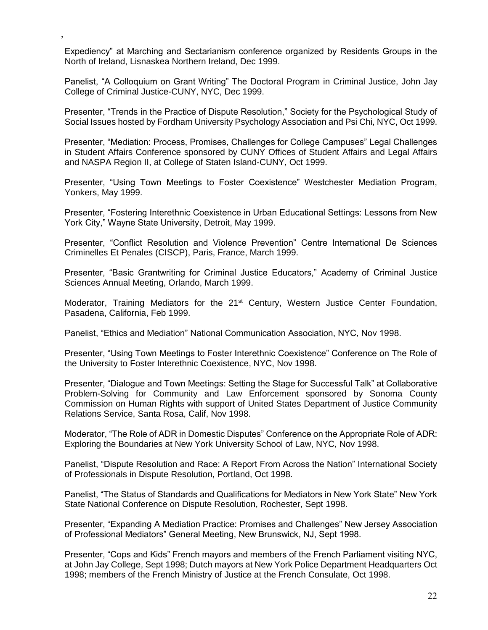Expediency" at Marching and Sectarianism conference organized by Residents Groups in the North of Ireland, Lisnaskea Northern Ireland, Dec 1999.

,

Panelist, "A Colloquium on Grant Writing" The Doctoral Program in Criminal Justice, John Jay College of Criminal Justice-CUNY, NYC, Dec 1999.

Presenter, "Trends in the Practice of Dispute Resolution," Society for the Psychological Study of Social Issues hosted by Fordham University Psychology Association and Psi Chi, NYC, Oct 1999.

Presenter, "Mediation: Process, Promises, Challenges for College Campuses" Legal Challenges in Student Affairs Conference sponsored by CUNY Offices of Student Affairs and Legal Affairs and NASPA Region II, at College of Staten Island-CUNY, Oct 1999.

Presenter, "Using Town Meetings to Foster Coexistence" Westchester Mediation Program, Yonkers, May 1999.

Presenter, "Fostering Interethnic Coexistence in Urban Educational Settings: Lessons from New York City," Wayne State University, Detroit, May 1999.

Presenter, "Conflict Resolution and Violence Prevention" Centre International De Sciences Criminelles Et Penales (CISCP), Paris, France, March 1999.

Presenter, "Basic Grantwriting for Criminal Justice Educators," Academy of Criminal Justice Sciences Annual Meeting, Orlando, March 1999.

Moderator, Training Mediators for the 21<sup>st</sup> Century, Western Justice Center Foundation, Pasadena, California, Feb 1999.

Panelist, "Ethics and Mediation" National Communication Association, NYC, Nov 1998.

Presenter, "Using Town Meetings to Foster Interethnic Coexistence" Conference on The Role of the University to Foster Interethnic Coexistence, NYC, Nov 1998.

Presenter, "Dialogue and Town Meetings: Setting the Stage for Successful Talk" at Collaborative Problem-Solving for Community and Law Enforcement sponsored by Sonoma County Commission on Human Rights with support of United States Department of Justice Community Relations Service, Santa Rosa, Calif, Nov 1998.

Moderator, "The Role of ADR in Domestic Disputes" Conference on the Appropriate Role of ADR: Exploring the Boundaries at New York University School of Law, NYC, Nov 1998.

Panelist, "Dispute Resolution and Race: A Report From Across the Nation" International Society of Professionals in Dispute Resolution, Portland, Oct 1998.

Panelist, "The Status of Standards and Qualifications for Mediators in New York State" New York State National Conference on Dispute Resolution, Rochester, Sept 1998.

Presenter, "Expanding A Mediation Practice: Promises and Challenges" New Jersey Association of Professional Mediators" General Meeting, New Brunswick, NJ, Sept 1998.

Presenter, "Cops and Kids" French mayors and members of the French Parliament visiting NYC, at John Jay College, Sept 1998; Dutch mayors at New York Police Department Headquarters Oct 1998; members of the French Ministry of Justice at the French Consulate, Oct 1998.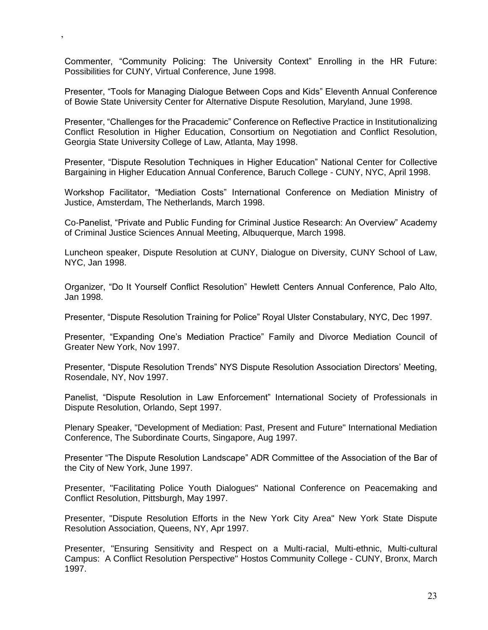Commenter, "Community Policing: The University Context" Enrolling in the HR Future: Possibilities for CUNY, Virtual Conference, June 1998.

,

Presenter, "Tools for Managing Dialogue Between Cops and Kids" Eleventh Annual Conference of Bowie State University Center for Alternative Dispute Resolution, Maryland, June 1998.

Presenter, "Challenges for the Pracademic" Conference on Reflective Practice in Institutionalizing Conflict Resolution in Higher Education, Consortium on Negotiation and Conflict Resolution, Georgia State University College of Law, Atlanta, May 1998.

Presenter, "Dispute Resolution Techniques in Higher Education" National Center for Collective Bargaining in Higher Education Annual Conference, Baruch College - CUNY, NYC, April 1998.

Workshop Facilitator, "Mediation Costs" International Conference on Mediation Ministry of Justice, Amsterdam, The Netherlands, March 1998.

Co-Panelist, "Private and Public Funding for Criminal Justice Research: An Overview" Academy of Criminal Justice Sciences Annual Meeting, Albuquerque, March 1998.

Luncheon speaker, Dispute Resolution at CUNY, Dialogue on Diversity, CUNY School of Law, NYC, Jan 1998.

Organizer, "Do It Yourself Conflict Resolution" Hewlett Centers Annual Conference, Palo Alto, Jan 1998.

Presenter, "Dispute Resolution Training for Police" Royal Ulster Constabulary, NYC, Dec 1997.

Presenter, "Expanding One's Mediation Practice" Family and Divorce Mediation Council of Greater New York, Nov 1997.

Presenter, "Dispute Resolution Trends" NYS Dispute Resolution Association Directors' Meeting, Rosendale, NY, Nov 1997.

Panelist, "Dispute Resolution in Law Enforcement" International Society of Professionals in Dispute Resolution, Orlando, Sept 1997.

Plenary Speaker, "Development of Mediation: Past, Present and Future" International Mediation Conference, The Subordinate Courts, Singapore, Aug 1997.

Presenter "The Dispute Resolution Landscape" ADR Committee of the Association of the Bar of the City of New York, June 1997.

Presenter, "Facilitating Police Youth Dialogues" National Conference on Peacemaking and Conflict Resolution, Pittsburgh, May 1997.

Presenter, "Dispute Resolution Efforts in the New York City Area" New York State Dispute Resolution Association, Queens, NY, Apr 1997.

Presenter, "Ensuring Sensitivity and Respect on a Multi-racial, Multi-ethnic, Multi-cultural Campus: A Conflict Resolution Perspective" Hostos Community College - CUNY, Bronx, March 1997.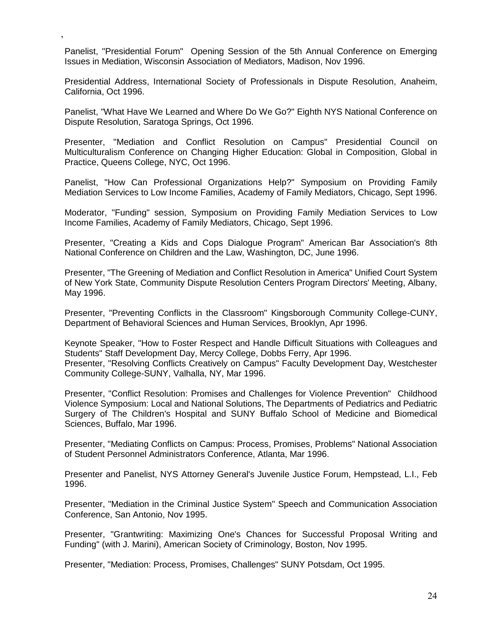Panelist, "Presidential Forum" Opening Session of the 5th Annual Conference on Emerging Issues in Mediation, Wisconsin Association of Mediators, Madison, Nov 1996.

,

Presidential Address, International Society of Professionals in Dispute Resolution, Anaheim, California, Oct 1996.

Panelist, "What Have We Learned and Where Do We Go?" Eighth NYS National Conference on Dispute Resolution, Saratoga Springs, Oct 1996.

Presenter, "Mediation and Conflict Resolution on Campus" Presidential Council on Multiculturalism Conference on Changing Higher Education: Global in Composition, Global in Practice, Queens College, NYC, Oct 1996.

Panelist, "How Can Professional Organizations Help?" Symposium on Providing Family Mediation Services to Low Income Families, Academy of Family Mediators, Chicago, Sept 1996.

Moderator, "Funding" session, Symposium on Providing Family Mediation Services to Low Income Families, Academy of Family Mediators, Chicago, Sept 1996.

Presenter, "Creating a Kids and Cops Dialogue Program" American Bar Association's 8th National Conference on Children and the Law, Washington, DC, June 1996.

Presenter, "The Greening of Mediation and Conflict Resolution in America" Unified Court System of New York State, Community Dispute Resolution Centers Program Directors' Meeting, Albany, May 1996.

Presenter, "Preventing Conflicts in the Classroom" Kingsborough Community College-CUNY, Department of Behavioral Sciences and Human Services, Brooklyn, Apr 1996.

Keynote Speaker, "How to Foster Respect and Handle Difficult Situations with Colleagues and Students" Staff Development Day, Mercy College, Dobbs Ferry, Apr 1996.

Presenter, "Resolving Conflicts Creatively on Campus" Faculty Development Day, Westchester Community College-SUNY, Valhalla, NY, Mar 1996.

Presenter, "Conflict Resolution: Promises and Challenges for Violence Prevention" Childhood Violence Symposium: Local and National Solutions, The Departments of Pediatrics and Pediatric Surgery of The Children's Hospital and SUNY Buffalo School of Medicine and Biomedical Sciences, Buffalo, Mar 1996.

Presenter, "Mediating Conflicts on Campus: Process, Promises, Problems" National Association of Student Personnel Administrators Conference, Atlanta, Mar 1996.

Presenter and Panelist, NYS Attorney General's Juvenile Justice Forum, Hempstead, L.I., Feb 1996.

Presenter, "Mediation in the Criminal Justice System" Speech and Communication Association Conference, San Antonio, Nov 1995.

Presenter, "Grantwriting: Maximizing One's Chances for Successful Proposal Writing and Funding" (with J. Marini), American Society of Criminology, Boston, Nov 1995.

Presenter, "Mediation: Process, Promises, Challenges" SUNY Potsdam, Oct 1995.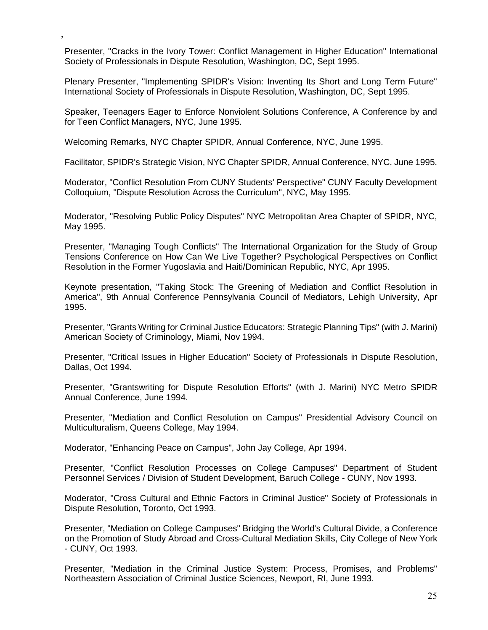Presenter, "Cracks in the Ivory Tower: Conflict Management in Higher Education" International Society of Professionals in Dispute Resolution, Washington, DC, Sept 1995.

Plenary Presenter, "Implementing SPIDR's Vision: Inventing Its Short and Long Term Future" International Society of Professionals in Dispute Resolution, Washington, DC, Sept 1995.

Speaker, Teenagers Eager to Enforce Nonviolent Solutions Conference, A Conference by and for Teen Conflict Managers, NYC, June 1995.

Welcoming Remarks, NYC Chapter SPIDR, Annual Conference, NYC, June 1995.

,

Facilitator, SPIDR's Strategic Vision, NYC Chapter SPIDR, Annual Conference, NYC, June 1995.

Moderator, "Conflict Resolution From CUNY Students' Perspective" CUNY Faculty Development Colloquium, "Dispute Resolution Across the Curriculum", NYC, May 1995.

Moderator, "Resolving Public Policy Disputes" NYC Metropolitan Area Chapter of SPIDR, NYC, May 1995.

Presenter, "Managing Tough Conflicts" The International Organization for the Study of Group Tensions Conference on How Can We Live Together? Psychological Perspectives on Conflict Resolution in the Former Yugoslavia and Haiti/Dominican Republic, NYC, Apr 1995.

Keynote presentation, "Taking Stock: The Greening of Mediation and Conflict Resolution in America", 9th Annual Conference Pennsylvania Council of Mediators, Lehigh University, Apr 1995.

Presenter, "Grants Writing for Criminal Justice Educators: Strategic Planning Tips" (with J. Marini) American Society of Criminology, Miami, Nov 1994.

Presenter, "Critical Issues in Higher Education" Society of Professionals in Dispute Resolution, Dallas, Oct 1994.

Presenter, "Grantswriting for Dispute Resolution Efforts" (with J. Marini) NYC Metro SPIDR Annual Conference, June 1994.

Presenter, "Mediation and Conflict Resolution on Campus" Presidential Advisory Council on Multiculturalism, Queens College, May 1994.

Moderator, "Enhancing Peace on Campus", John Jay College, Apr 1994.

Presenter, "Conflict Resolution Processes on College Campuses" Department of Student Personnel Services / Division of Student Development, Baruch College - CUNY, Nov 1993.

Moderator, "Cross Cultural and Ethnic Factors in Criminal Justice" Society of Professionals in Dispute Resolution, Toronto, Oct 1993.

Presenter, "Mediation on College Campuses" Bridging the World's Cultural Divide, a Conference on the Promotion of Study Abroad and Cross-Cultural Mediation Skills, City College of New York - CUNY, Oct 1993.

Presenter, "Mediation in the Criminal Justice System: Process, Promises, and Problems" Northeastern Association of Criminal Justice Sciences, Newport, RI, June 1993.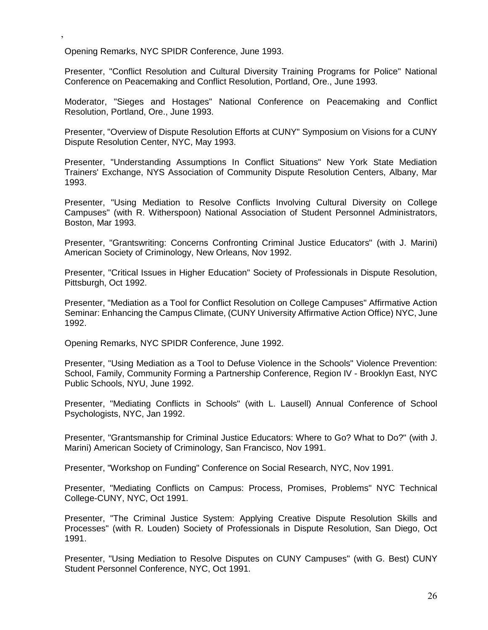Opening Remarks, NYC SPIDR Conference, June 1993.

,

Presenter, "Conflict Resolution and Cultural Diversity Training Programs for Police" National Conference on Peacemaking and Conflict Resolution, Portland, Ore., June 1993.

Moderator, "Sieges and Hostages" National Conference on Peacemaking and Conflict Resolution, Portland, Ore., June 1993.

Presenter, "Overview of Dispute Resolution Efforts at CUNY" Symposium on Visions for a CUNY Dispute Resolution Center, NYC, May 1993.

Presenter, "Understanding Assumptions In Conflict Situations" New York State Mediation Trainers' Exchange, NYS Association of Community Dispute Resolution Centers, Albany, Mar 1993.

Presenter, "Using Mediation to Resolve Conflicts Involving Cultural Diversity on College Campuses" (with R. Witherspoon) National Association of Student Personnel Administrators, Boston, Mar 1993.

Presenter, "Grantswriting: Concerns Confronting Criminal Justice Educators" (with J. Marini) American Society of Criminology, New Orleans, Nov 1992.

Presenter, "Critical Issues in Higher Education" Society of Professionals in Dispute Resolution, Pittsburgh, Oct 1992.

Presenter, "Mediation as a Tool for Conflict Resolution on College Campuses" Affirmative Action Seminar: Enhancing the Campus Climate, (CUNY University Affirmative Action Office) NYC, June 1992.

Opening Remarks, NYC SPIDR Conference, June 1992.

Presenter, "Using Mediation as a Tool to Defuse Violence in the Schools" Violence Prevention: School, Family, Community Forming a Partnership Conference, Region IV - Brooklyn East, NYC Public Schools, NYU, June 1992.

Presenter, "Mediating Conflicts in Schools" (with L. Lausell) Annual Conference of School Psychologists, NYC, Jan 1992.

Presenter, "Grantsmanship for Criminal Justice Educators: Where to Go? What to Do?" (with J. Marini) American Society of Criminology, San Francisco, Nov 1991.

Presenter, "Workshop on Funding" Conference on Social Research, NYC, Nov 1991.

Presenter, "Mediating Conflicts on Campus: Process, Promises, Problems" NYC Technical College-CUNY, NYC, Oct 1991.

Presenter, "The Criminal Justice System: Applying Creative Dispute Resolution Skills and Processes" (with R. Louden) Society of Professionals in Dispute Resolution, San Diego, Oct 1991.

Presenter, "Using Mediation to Resolve Disputes on CUNY Campuses" (with G. Best) CUNY Student Personnel Conference, NYC, Oct 1991.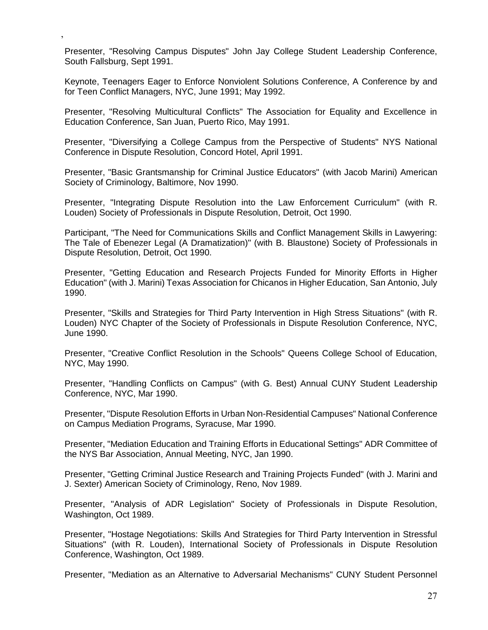Presenter, "Resolving Campus Disputes" John Jay College Student Leadership Conference, South Fallsburg, Sept 1991.

,

Keynote, Teenagers Eager to Enforce Nonviolent Solutions Conference, A Conference by and for Teen Conflict Managers, NYC, June 1991; May 1992.

Presenter, "Resolving Multicultural Conflicts" The Association for Equality and Excellence in Education Conference, San Juan, Puerto Rico, May 1991.

Presenter, "Diversifying a College Campus from the Perspective of Students" NYS National Conference in Dispute Resolution, Concord Hotel, April 1991.

Presenter, "Basic Grantsmanship for Criminal Justice Educators" (with Jacob Marini) American Society of Criminology, Baltimore, Nov 1990.

Presenter, "Integrating Dispute Resolution into the Law Enforcement Curriculum" (with R. Louden) Society of Professionals in Dispute Resolution, Detroit, Oct 1990.

Participant, "The Need for Communications Skills and Conflict Management Skills in Lawyering: The Tale of Ebenezer Legal (A Dramatization)" (with B. Blaustone) Society of Professionals in Dispute Resolution, Detroit, Oct 1990.

Presenter, "Getting Education and Research Projects Funded for Minority Efforts in Higher Education" (with J. Marini) Texas Association for Chicanos in Higher Education, San Antonio, July 1990.

Presenter, "Skills and Strategies for Third Party Intervention in High Stress Situations" (with R. Louden) NYC Chapter of the Society of Professionals in Dispute Resolution Conference, NYC, June 1990.

Presenter, "Creative Conflict Resolution in the Schools" Queens College School of Education, NYC, May 1990.

Presenter, "Handling Conflicts on Campus" (with G. Best) Annual CUNY Student Leadership Conference, NYC, Mar 1990.

Presenter, "Dispute Resolution Efforts in Urban Non-Residential Campuses" National Conference on Campus Mediation Programs, Syracuse, Mar 1990.

Presenter, "Mediation Education and Training Efforts in Educational Settings" ADR Committee of the NYS Bar Association, Annual Meeting, NYC, Jan 1990.

Presenter, "Getting Criminal Justice Research and Training Projects Funded" (with J. Marini and J. Sexter) American Society of Criminology, Reno, Nov 1989.

Presenter, "Analysis of ADR Legislation" Society of Professionals in Dispute Resolution, Washington, Oct 1989.

Presenter, "Hostage Negotiations: Skills And Strategies for Third Party Intervention in Stressful Situations" (with R. Louden), International Society of Professionals in Dispute Resolution Conference, Washington, Oct 1989.

Presenter, "Mediation as an Alternative to Adversarial Mechanisms" CUNY Student Personnel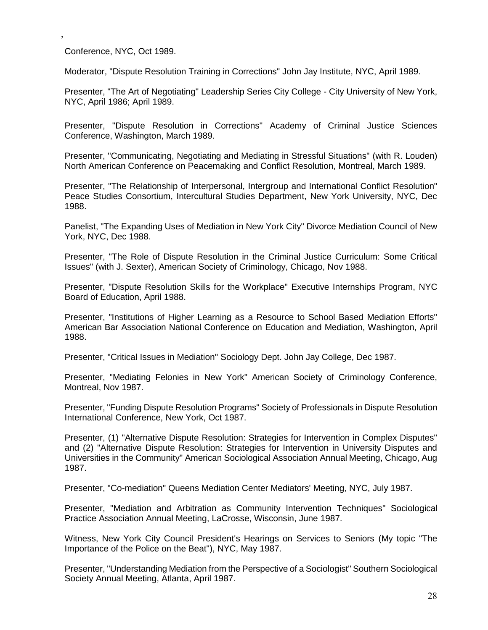Conference, NYC, Oct 1989.

,

Moderator, "Dispute Resolution Training in Corrections" John Jay Institute, NYC, April 1989.

Presenter, "The Art of Negotiating" Leadership Series City College - City University of New York, NYC, April 1986; April 1989.

Presenter, "Dispute Resolution in Corrections" Academy of Criminal Justice Sciences Conference, Washington, March 1989.

Presenter, "Communicating, Negotiating and Mediating in Stressful Situations" (with R. Louden) North American Conference on Peacemaking and Conflict Resolution, Montreal, March 1989.

Presenter, "The Relationship of Interpersonal, Intergroup and International Conflict Resolution" Peace Studies Consortium, Intercultural Studies Department, New York University, NYC, Dec 1988.

Panelist, "The Expanding Uses of Mediation in New York City" Divorce Mediation Council of New York, NYC, Dec 1988.

Presenter, "The Role of Dispute Resolution in the Criminal Justice Curriculum: Some Critical Issues" (with J. Sexter), American Society of Criminology, Chicago, Nov 1988.

Presenter, "Dispute Resolution Skills for the Workplace" Executive Internships Program, NYC Board of Education, April 1988.

Presenter, "Institutions of Higher Learning as a Resource to School Based Mediation Efforts" American Bar Association National Conference on Education and Mediation, Washington, April 1988.

Presenter, "Critical Issues in Mediation" Sociology Dept. John Jay College, Dec 1987.

Presenter, "Mediating Felonies in New York" American Society of Criminology Conference, Montreal, Nov 1987.

Presenter, "Funding Dispute Resolution Programs" Society of Professionals in Dispute Resolution International Conference, New York, Oct 1987.

Presenter, (1) "Alternative Dispute Resolution: Strategies for Intervention in Complex Disputes" and (2) "Alternative Dispute Resolution: Strategies for Intervention in University Disputes and Universities in the Community" American Sociological Association Annual Meeting, Chicago, Aug 1987.

Presenter, "Co-mediation" Queens Mediation Center Mediators' Meeting, NYC, July 1987.

Presenter, "Mediation and Arbitration as Community Intervention Techniques" Sociological Practice Association Annual Meeting, LaCrosse, Wisconsin, June 1987.

Witness, New York City Council President's Hearings on Services to Seniors (My topic "The Importance of the Police on the Beat"), NYC, May 1987.

Presenter, "Understanding Mediation from the Perspective of a Sociologist" Southern Sociological Society Annual Meeting, Atlanta, April 1987.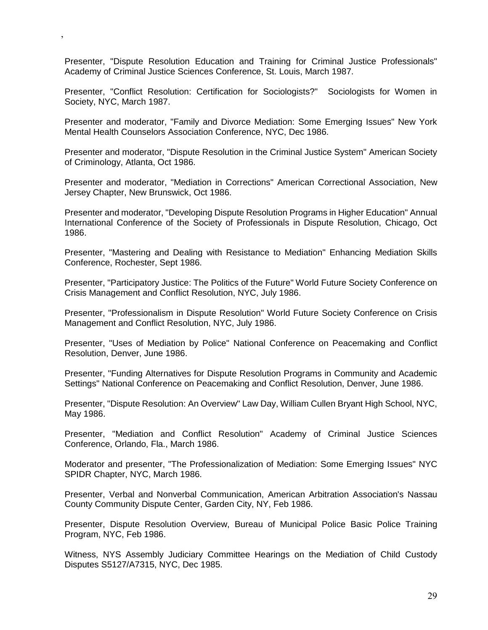Presenter, "Dispute Resolution Education and Training for Criminal Justice Professionals" Academy of Criminal Justice Sciences Conference, St. Louis, March 1987.

,

Presenter, "Conflict Resolution: Certification for Sociologists?" Sociologists for Women in Society, NYC, March 1987.

Presenter and moderator, "Family and Divorce Mediation: Some Emerging Issues" New York Mental Health Counselors Association Conference, NYC, Dec 1986.

Presenter and moderator, "Dispute Resolution in the Criminal Justice System" American Society of Criminology, Atlanta, Oct 1986.

Presenter and moderator, "Mediation in Corrections" American Correctional Association, New Jersey Chapter, New Brunswick, Oct 1986.

Presenter and moderator, "Developing Dispute Resolution Programs in Higher Education" Annual International Conference of the Society of Professionals in Dispute Resolution, Chicago, Oct 1986.

Presenter, "Mastering and Dealing with Resistance to Mediation" Enhancing Mediation Skills Conference, Rochester, Sept 1986.

Presenter, "Participatory Justice: The Politics of the Future" World Future Society Conference on Crisis Management and Conflict Resolution, NYC, July 1986.

Presenter, "Professionalism in Dispute Resolution" World Future Society Conference on Crisis Management and Conflict Resolution, NYC, July 1986.

Presenter, "Uses of Mediation by Police" National Conference on Peacemaking and Conflict Resolution, Denver, June 1986.

Presenter, "Funding Alternatives for Dispute Resolution Programs in Community and Academic Settings" National Conference on Peacemaking and Conflict Resolution, Denver, June 1986.

Presenter, "Dispute Resolution: An Overview" Law Day, William Cullen Bryant High School, NYC, May 1986.

Presenter, "Mediation and Conflict Resolution" Academy of Criminal Justice Sciences Conference, Orlando, Fla., March 1986.

Moderator and presenter, "The Professionalization of Mediation: Some Emerging Issues" NYC SPIDR Chapter, NYC, March 1986.

Presenter, Verbal and Nonverbal Communication, American Arbitration Association's Nassau County Community Dispute Center, Garden City, NY, Feb 1986.

Presenter, Dispute Resolution Overview, Bureau of Municipal Police Basic Police Training Program, NYC, Feb 1986.

Witness, NYS Assembly Judiciary Committee Hearings on the Mediation of Child Custody Disputes S5127/A7315, NYC, Dec 1985.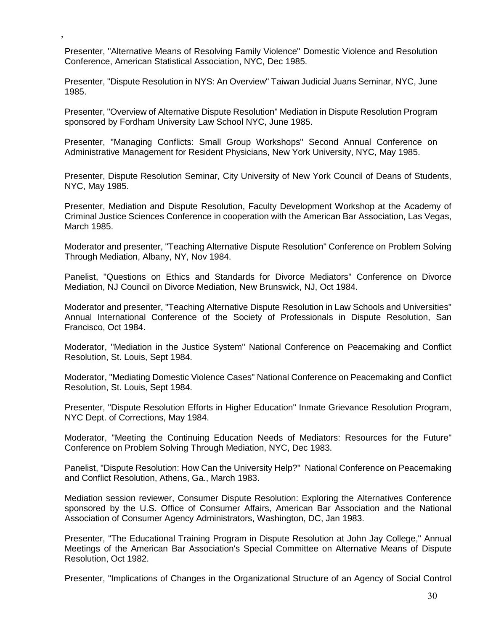Presenter, "Alternative Means of Resolving Family Violence" Domestic Violence and Resolution Conference, American Statistical Association, NYC, Dec 1985.

,

Presenter, "Dispute Resolution in NYS: An Overview" Taiwan Judicial Juans Seminar, NYC, June 1985.

Presenter, "Overview of Alternative Dispute Resolution" Mediation in Dispute Resolution Program sponsored by Fordham University Law School NYC, June 1985.

Presenter, "Managing Conflicts: Small Group Workshops" Second Annual Conference on Administrative Management for Resident Physicians, New York University, NYC, May 1985.

Presenter, Dispute Resolution Seminar, City University of New York Council of Deans of Students, NYC, May 1985.

Presenter, Mediation and Dispute Resolution, Faculty Development Workshop at the Academy of Criminal Justice Sciences Conference in cooperation with the American Bar Association, Las Vegas, March 1985.

Moderator and presenter, "Teaching Alternative Dispute Resolution" Conference on Problem Solving Through Mediation, Albany, NY, Nov 1984.

Panelist, "Questions on Ethics and Standards for Divorce Mediators" Conference on Divorce Mediation, NJ Council on Divorce Mediation, New Brunswick, NJ, Oct 1984.

Moderator and presenter, "Teaching Alternative Dispute Resolution in Law Schools and Universities" Annual International Conference of the Society of Professionals in Dispute Resolution, San Francisco, Oct 1984.

Moderator, "Mediation in the Justice System" National Conference on Peacemaking and Conflict Resolution, St. Louis, Sept 1984.

Moderator, "Mediating Domestic Violence Cases" National Conference on Peacemaking and Conflict Resolution, St. Louis, Sept 1984.

Presenter, "Dispute Resolution Efforts in Higher Education" Inmate Grievance Resolution Program, NYC Dept. of Corrections, May 1984.

Moderator, "Meeting the Continuing Education Needs of Mediators: Resources for the Future" Conference on Problem Solving Through Mediation, NYC, Dec 1983.

Panelist, "Dispute Resolution: How Can the University Help?" National Conference on Peacemaking and Conflict Resolution, Athens, Ga., March 1983.

Mediation session reviewer, Consumer Dispute Resolution: Exploring the Alternatives Conference sponsored by the U.S. Office of Consumer Affairs, American Bar Association and the National Association of Consumer Agency Administrators, Washington, DC, Jan 1983.

Presenter, "The Educational Training Program in Dispute Resolution at John Jay College," Annual Meetings of the American Bar Association's Special Committee on Alternative Means of Dispute Resolution, Oct 1982.

Presenter, "Implications of Changes in the Organizational Structure of an Agency of Social Control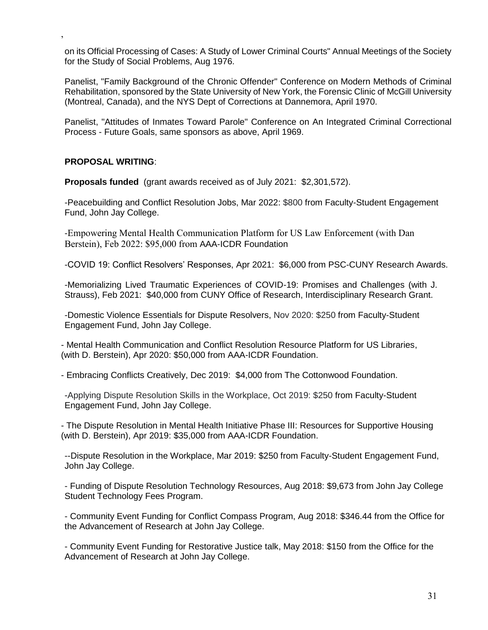on its Official Processing of Cases: A Study of Lower Criminal Courts" Annual Meetings of the Society for the Study of Social Problems, Aug 1976.

Panelist, "Family Background of the Chronic Offender" Conference on Modern Methods of Criminal Rehabilitation, sponsored by the State University of New York, the Forensic Clinic of McGill University (Montreal, Canada), and the NYS Dept of Corrections at Dannemora, April 1970.

Panelist, "Attitudes of Inmates Toward Parole" Conference on An Integrated Criminal Correctional Process - Future Goals, same sponsors as above, April 1969.

#### **PROPOSAL WRITING**:

,

**Proposals funded** (grant awards received as of July 2021: \$2,301,572).

-Peacebuilding and Conflict Resolution Jobs, Mar 2022: \$800 from Faculty-Student Engagement Fund, John Jay College.

-Empowering Mental Health Communication Platform for US Law Enforcement (with Dan Berstein), Feb 2022: \$95,000 from AAA-ICDR Foundation

-COVID 19: Conflict Resolvers' Responses, Apr 2021: \$6,000 from PSC-CUNY Research Awards.

-Memorializing Lived Traumatic Experiences of COVID-19: Promises and Challenges (with J. Strauss), Feb 2021: \$40,000 from CUNY Office of Research, Interdisciplinary Research Grant.

-Domestic Violence Essentials for Dispute Resolvers, Nov 2020: \$250 from Faculty-Student Engagement Fund, John Jay College.

- Mental Health Communication and Conflict Resolution Resource Platform for US Libraries, (with D. Berstein), Apr 2020: \$50,000 from AAA-ICDR Foundation.

- Embracing Conflicts Creatively, Dec 2019: \$4,000 from The Cottonwood Foundation.

-Applying Dispute Resolution Skills in the Workplace, Oct 2019: \$250 from Faculty-Student Engagement Fund, John Jay College.

- The Dispute Resolution in Mental Health Initiative Phase III: Resources for Supportive Housing (with D. Berstein), Apr 2019: \$35,000 from AAA-ICDR Foundation.

--Dispute Resolution in the Workplace, Mar 2019: \$250 from Faculty-Student Engagement Fund, John Jay College.

- Funding of Dispute Resolution Technology Resources, Aug 2018: \$9,673 from John Jay College Student Technology Fees Program.

- Community Event Funding for Conflict Compass Program, Aug 2018: \$346.44 from the Office for the Advancement of Research at John Jay College.

- Community Event Funding for Restorative Justice talk, May 2018: \$150 from the Office for the Advancement of Research at John Jay College.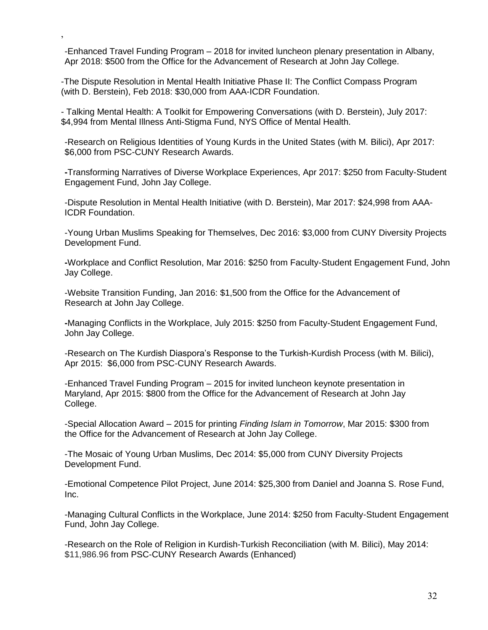-Enhanced Travel Funding Program – 2018 for invited luncheon plenary presentation in Albany, Apr 2018: \$500 from the Office for the Advancement of Research at John Jay College.

-The Dispute Resolution in Mental Health Initiative Phase II: The Conflict Compass Program (with D. Berstein), Feb 2018: \$30,000 from AAA-ICDR Foundation.

,

- Talking Mental Health: A Toolkit for Empowering Conversations (with D. Berstein), July 2017: \$4,994 from Mental Illness Anti-Stigma Fund, NYS Office of Mental Health.

-Research on Religious Identities of Young Kurds in the United States (with M. Bilici), Apr 2017: \$6,000 from PSC-CUNY Research Awards.

**-**Transforming Narratives of Diverse Workplace Experiences, Apr 2017: \$250 from Faculty-Student Engagement Fund, John Jay College.

-Dispute Resolution in Mental Health Initiative (with D. Berstein), Mar 2017: \$24,998 from AAA-ICDR Foundation.

-Young Urban Muslims Speaking for Themselves, Dec 2016: \$3,000 from CUNY Diversity Projects Development Fund.

**-**Workplace and Conflict Resolution, Mar 2016: \$250 from Faculty-Student Engagement Fund, John Jay College.

-Website Transition Funding, Jan 2016: \$1,500 from the Office for the Advancement of Research at John Jay College.

**-**Managing Conflicts in the Workplace, July 2015: \$250 from Faculty-Student Engagement Fund, John Jay College.

-Research on The Kurdish Diaspora's Response to the Turkish-Kurdish Process (with M. Bilici), Apr 2015: \$6,000 from PSC-CUNY Research Awards.

-Enhanced Travel Funding Program – 2015 for invited luncheon keynote presentation in Maryland, Apr 2015: \$800 from the Office for the Advancement of Research at John Jay College.

-Special Allocation Award – 2015 for printing *Finding Islam in Tomorrow*, Mar 2015: \$300 from the Office for the Advancement of Research at John Jay College.

-The Mosaic of Young Urban Muslims, Dec 2014: \$5,000 from CUNY Diversity Projects Development Fund.

-Emotional Competence Pilot Project, June 2014: \$25,300 from Daniel and Joanna S. Rose Fund, Inc.

-Managing Cultural Conflicts in the Workplace, June 2014: \$250 from Faculty-Student Engagement Fund, John Jay College.

-Research on the Role of Religion in Kurdish-Turkish Reconciliation (with M. Bilici), May 2014: \$11,986.96 from PSC-CUNY Research Awards (Enhanced)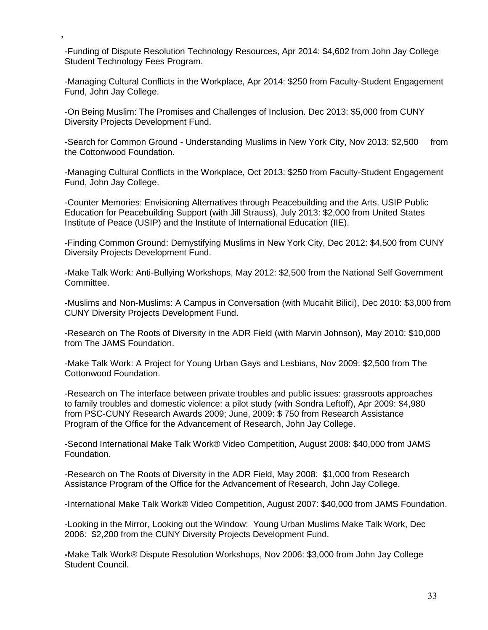-Funding of Dispute Resolution Technology Resources, Apr 2014: \$4,602 from John Jay College Student Technology Fees Program.

,

-Managing Cultural Conflicts in the Workplace, Apr 2014: \$250 from Faculty-Student Engagement Fund, John Jay College.

-On Being Muslim: The Promises and Challenges of Inclusion. Dec 2013: \$5,000 from CUNY Diversity Projects Development Fund.

-Search for Common Ground - Understanding Muslims in New York City, Nov 2013: \$2,500 from the Cottonwood Foundation.

-Managing Cultural Conflicts in the Workplace, Oct 2013: \$250 from Faculty-Student Engagement Fund, John Jay College.

-Counter Memories: Envisioning Alternatives through Peacebuilding and the Arts. USIP Public Education for Peacebuilding Support (with Jill Strauss), July 2013: \$2,000 from United States Institute of Peace (USIP) and the Institute of International Education (IIE).

-Finding Common Ground: Demystifying Muslims in New York City, Dec 2012: \$4,500 from CUNY Diversity Projects Development Fund.

-Make Talk Work: Anti-Bullying Workshops, May 2012: \$2,500 from the National Self Government Committee.

-Muslims and Non-Muslims: A Campus in Conversation (with Mucahit Bilici), Dec 2010: \$3,000 from CUNY Diversity Projects Development Fund.

-Research on The Roots of Diversity in the ADR Field (with Marvin Johnson), May 2010: \$10,000 from The JAMS Foundation.

-Make Talk Work: A Project for Young Urban Gays and Lesbians, Nov 2009: \$2,500 from The Cottonwood Foundation.

-Research on The interface between private troubles and public issues: grassroots approaches to family troubles and domestic violence: a pilot study (with Sondra Leftoff), Apr 2009: \$4,980 from PSC-CUNY Research Awards 2009; June, 2009: \$ 750 from Research Assistance Program of the Office for the Advancement of Research, John Jay College.

-Second International Make Talk Work® Video Competition, August 2008: \$40,000 from JAMS Foundation.

-Research on The Roots of Diversity in the ADR Field, May 2008: \$1,000 from Research Assistance Program of the Office for the Advancement of Research, John Jay College.

-International Make Talk Work® Video Competition, August 2007: \$40,000 from JAMS Foundation.

-Looking in the Mirror, Looking out the Window: Young Urban Muslims Make Talk Work, Dec 2006: \$2,200 from the CUNY Diversity Projects Development Fund.

**-**Make Talk Work® Dispute Resolution Workshops, Nov 2006: \$3,000 from John Jay College Student Council.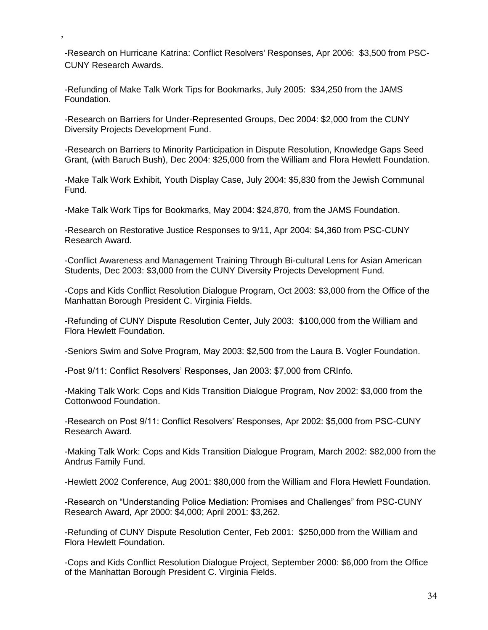**-**Research on Hurricane Katrina: Conflict Resolvers' Responses, Apr 2006: \$3,500 from PSC-CUNY Research Awards.

-Refunding of Make Talk Work Tips for Bookmarks, July 2005: \$34,250 from the JAMS Foundation.

,

-Research on Barriers for Under-Represented Groups, Dec 2004: \$2,000 from the CUNY Diversity Projects Development Fund.

-Research on Barriers to Minority Participation in Dispute Resolution, Knowledge Gaps Seed Grant, (with Baruch Bush), Dec 2004: \$25,000 from the William and Flora Hewlett Foundation.

-Make Talk Work Exhibit, Youth Display Case, July 2004: \$5,830 from the Jewish Communal Fund.

-Make Talk Work Tips for Bookmarks, May 2004: \$24,870, from the JAMS Foundation.

-Research on Restorative Justice Responses to 9/11, Apr 2004: \$4,360 from PSC-CUNY Research Award.

-Conflict Awareness and Management Training Through Bi-cultural Lens for Asian American Students, Dec 2003: \$3,000 from the CUNY Diversity Projects Development Fund.

-Cops and Kids Conflict Resolution Dialogue Program, Oct 2003: \$3,000 from the Office of the Manhattan Borough President C. Virginia Fields.

-Refunding of CUNY Dispute Resolution Center, July 2003: \$100,000 from the William and Flora Hewlett Foundation.

-Seniors Swim and Solve Program, May 2003: \$2,500 from the Laura B. Vogler Foundation.

-Post 9/11: Conflict Resolvers' Responses, Jan 2003: \$7,000 from CRInfo.

-Making Talk Work: Cops and Kids Transition Dialogue Program, Nov 2002: \$3,000 from the Cottonwood Foundation.

-Research on Post 9/11: Conflict Resolvers' Responses, Apr 2002: \$5,000 from PSC-CUNY Research Award.

-Making Talk Work: Cops and Kids Transition Dialogue Program, March 2002: \$82,000 from the Andrus Family Fund.

-Hewlett 2002 Conference, Aug 2001: \$80,000 from the William and Flora Hewlett Foundation.

-Research on "Understanding Police Mediation: Promises and Challenges" from PSC-CUNY Research Award, Apr 2000: \$4,000; April 2001: \$3,262.

-Refunding of CUNY Dispute Resolution Center, Feb 2001: \$250,000 from the William and Flora Hewlett Foundation.

-Cops and Kids Conflict Resolution Dialogue Project, September 2000: \$6,000 from the Office of the Manhattan Borough President C. Virginia Fields.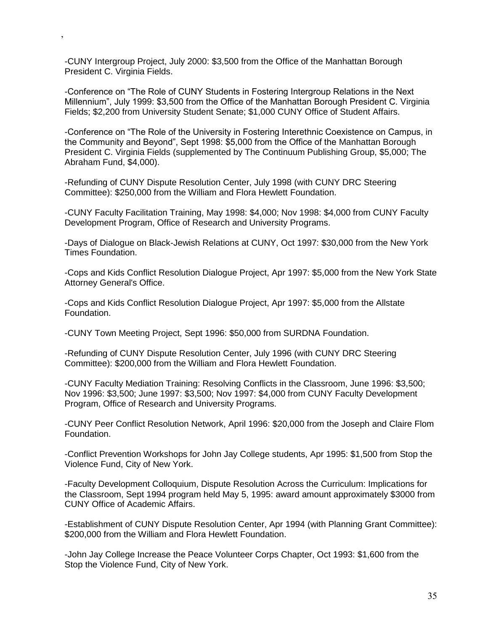-CUNY Intergroup Project, July 2000: \$3,500 from the Office of the Manhattan Borough President C. Virginia Fields.

,

-Conference on "The Role of CUNY Students in Fostering Intergroup Relations in the Next Millennium", July 1999: \$3,500 from the Office of the Manhattan Borough President C. Virginia Fields; \$2,200 from University Student Senate; \$1,000 CUNY Office of Student Affairs.

-Conference on "The Role of the University in Fostering Interethnic Coexistence on Campus, in the Community and Beyond", Sept 1998: \$5,000 from the Office of the Manhattan Borough President C. Virginia Fields (supplemented by The Continuum Publishing Group, \$5,000; The Abraham Fund, \$4,000).

-Refunding of CUNY Dispute Resolution Center, July 1998 (with CUNY DRC Steering Committee): \$250,000 from the William and Flora Hewlett Foundation.

-CUNY Faculty Facilitation Training, May 1998: \$4,000; Nov 1998: \$4,000 from CUNY Faculty Development Program, Office of Research and University Programs.

-Days of Dialogue on Black-Jewish Relations at CUNY, Oct 1997: \$30,000 from the New York Times Foundation.

-Cops and Kids Conflict Resolution Dialogue Project, Apr 1997: \$5,000 from the New York State Attorney General's Office.

-Cops and Kids Conflict Resolution Dialogue Project, Apr 1997: \$5,000 from the Allstate Foundation.

-CUNY Town Meeting Project, Sept 1996: \$50,000 from SURDNA Foundation.

-Refunding of CUNY Dispute Resolution Center, July 1996 (with CUNY DRC Steering Committee): \$200,000 from the William and Flora Hewlett Foundation.

-CUNY Faculty Mediation Training: Resolving Conflicts in the Classroom, June 1996: \$3,500; Nov 1996: \$3,500; June 1997: \$3,500; Nov 1997: \$4,000 from CUNY Faculty Development Program, Office of Research and University Programs.

-CUNY Peer Conflict Resolution Network, April 1996: \$20,000 from the Joseph and Claire Flom Foundation.

-Conflict Prevention Workshops for John Jay College students, Apr 1995: \$1,500 from Stop the Violence Fund, City of New York.

-Faculty Development Colloquium, Dispute Resolution Across the Curriculum: Implications for the Classroom, Sept 1994 program held May 5, 1995: award amount approximately \$3000 from CUNY Office of Academic Affairs.

-Establishment of CUNY Dispute Resolution Center, Apr 1994 (with Planning Grant Committee): \$200,000 from the William and Flora Hewlett Foundation.

-John Jay College Increase the Peace Volunteer Corps Chapter, Oct 1993: \$1,600 from the Stop the Violence Fund, City of New York.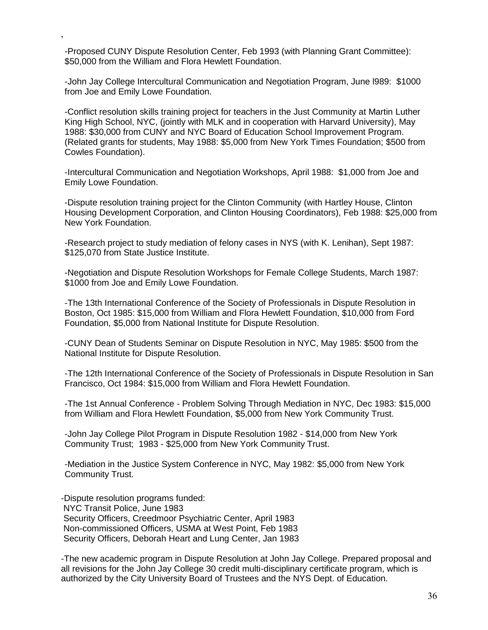-Proposed CUNY Dispute Resolution Center, Feb 1993 (with Planning Grant Committee): \$50,000 from the William and Flora Hewlett Foundation.

,

-John Jay College Intercultural Communication and Negotiation Program, June l989: \$1000 from Joe and Emily Lowe Foundation.

-Conflict resolution skills training project for teachers in the Just Community at Martin Luther King High School, NYC, (jointly with MLK and in cooperation with Harvard University), May 1988: \$30,000 from CUNY and NYC Board of Education School Improvement Program. (Related grants for students, May 1988: \$5,000 from New York Times Foundation; \$500 from Cowles Foundation).

-Intercultural Communication and Negotiation Workshops, April 1988: \$1,000 from Joe and Emily Lowe Foundation.

-Dispute resolution training project for the Clinton Community (with Hartley House, Clinton Housing Development Corporation, and Clinton Housing Coordinators), Feb 1988: \$25,000 from New York Foundation.

-Research project to study mediation of felony cases in NYS (with K. Lenihan), Sept 1987: \$125,070 from State Justice Institute.

-Negotiation and Dispute Resolution Workshops for Female College Students, March 1987: \$1000 from Joe and Emily Lowe Foundation.

-The 13th International Conference of the Society of Professionals in Dispute Resolution in Boston, Oct 1985: \$15,000 from William and Flora Hewlett Foundation, \$10,000 from Ford Foundation, \$5,000 from National Institute for Dispute Resolution.

-CUNY Dean of Students Seminar on Dispute Resolution in NYC, May 1985: \$500 from the National Institute for Dispute Resolution.

-The 12th International Conference of the Society of Professionals in Dispute Resolution in San Francisco, Oct 1984: \$15,000 from William and Flora Hewlett Foundation.

-The 1st Annual Conference - Problem Solving Through Mediation in NYC, Dec 1983: \$15,000 from William and Flora Hewlett Foundation, \$5,000 from New York Community Trust.

-John Jay College Pilot Program in Dispute Resolution 1982 - \$14,000 from New York Community Trust; 1983 - \$25,000 from New York Community Trust.

-Mediation in the Justice System Conference in NYC, May 1982: \$5,000 from New York Community Trust.

-Dispute resolution programs funded: NYC Transit Police, June 1983 Security Officers, Creedmoor Psychiatric Center, April 1983 Non-commissioned Officers, USMA at West Point, Feb 1983 Security Officers, Deborah Heart and Lung Center, Jan 1983

-The new academic program in Dispute Resolution at John Jay College. Prepared proposal and all revisions for the John Jay College 30 credit multi-disciplinary certificate program, which is authorized by the City University Board of Trustees and the NYS Dept. of Education.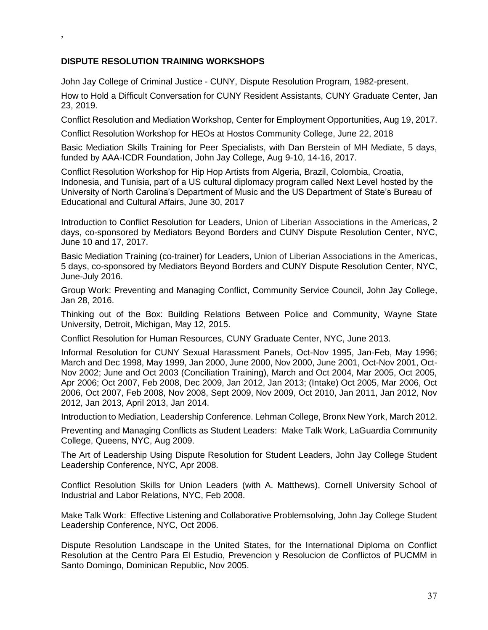## **DISPUTE RESOLUTION TRAINING WORKSHOPS**

,

John Jay College of Criminal Justice - CUNY, Dispute Resolution Program, 1982-present. How to Hold a Difficult Conversation for CUNY Resident Assistants, CUNY Graduate Center, Jan 23, 2019.

Conflict Resolution and Mediation Workshop, Center for Employment Opportunities, Aug 19, 2017.

Conflict Resolution Workshop for HEOs at Hostos Community College, June 22, 2018

Basic Mediation Skills Training for Peer Specialists, with Dan Berstein of MH Mediate, 5 days, funded by AAA-ICDR Foundation, John Jay College, Aug 9-10, 14-16, 2017.

Conflict Resolution Workshop for Hip Hop Artists from Algeria, Brazil, Colombia, Croatia, Indonesia, and Tunisia, part of a US cultural diplomacy program called Next Level hosted by the University of North Carolina's Department of Music and the US Department of State's Bureau of Educational and Cultural Affairs, June 30, 2017

Introduction to Conflict Resolution for Leaders, Union of Liberian Associations in the Americas, 2 days, co-sponsored by Mediators Beyond Borders and CUNY Dispute Resolution Center, NYC, June 10 and 17, 2017.

Basic Mediation Training (co-trainer) for Leaders, Union of Liberian Associations in the Americas, 5 days, co-sponsored by Mediators Beyond Borders and CUNY Dispute Resolution Center, NYC, June-July 2016.

Group Work: Preventing and Managing Conflict, Community Service Council, John Jay College, Jan 28, 2016.

Thinking out of the Box: Building Relations Between Police and Community, Wayne State University, Detroit, Michigan, May 12, 2015.

Conflict Resolution for Human Resources, CUNY Graduate Center, NYC, June 2013.

Informal Resolution for CUNY Sexual Harassment Panels, Oct-Nov 1995, Jan-Feb, May 1996; March and Dec 1998, May 1999, Jan 2000, June 2000, Nov 2000, June 2001, Oct-Nov 2001, Oct-Nov 2002; June and Oct 2003 (Conciliation Training), March and Oct 2004, Mar 2005, Oct 2005, Apr 2006; Oct 2007, Feb 2008, Dec 2009, Jan 2012, Jan 2013; (Intake) Oct 2005, Mar 2006, Oct 2006, Oct 2007, Feb 2008, Nov 2008, Sept 2009, Nov 2009, Oct 2010, Jan 2011, Jan 2012, Nov 2012, Jan 2013, April 2013, Jan 2014.

Introduction to Mediation, Leadership Conference. Lehman College, Bronx New York, March 2012.

Preventing and Managing Conflicts as Student Leaders: Make Talk Work, LaGuardia Community College, Queens, NYC, Aug 2009.

The Art of Leadership Using Dispute Resolution for Student Leaders, John Jay College Student Leadership Conference, NYC, Apr 2008.

Conflict Resolution Skills for Union Leaders (with A. Matthews), Cornell University School of Industrial and Labor Relations, NYC, Feb 2008.

Make Talk Work: Effective Listening and Collaborative Problemsolving, John Jay College Student Leadership Conference, NYC, Oct 2006.

Dispute Resolution Landscape in the United States, for the International Diploma on Conflict Resolution at the Centro Para El Estudio, Prevencion y Resolucion de Conflictos of PUCMM in Santo Domingo, Dominican Republic, Nov 2005.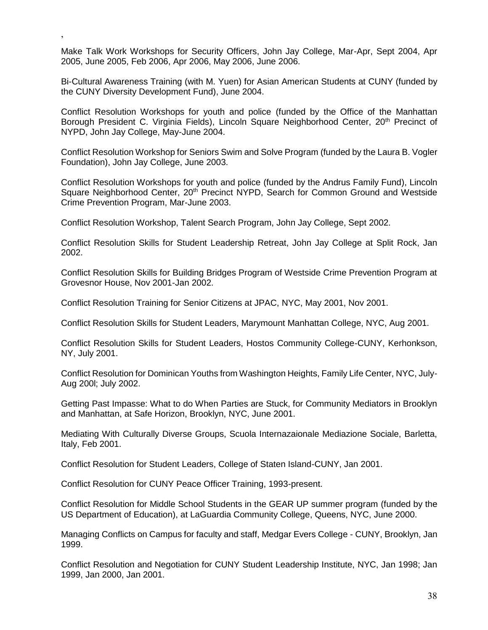Make Talk Work Workshops for Security Officers, John Jay College, Mar-Apr, Sept 2004, Apr 2005, June 2005, Feb 2006, Apr 2006, May 2006, June 2006.

,

Bi-Cultural Awareness Training (with M. Yuen) for Asian American Students at CUNY (funded by the CUNY Diversity Development Fund), June 2004.

Conflict Resolution Workshops for youth and police (funded by the Office of the Manhattan Borough President C. Virginia Fields), Lincoln Square Neighborhood Center, 20<sup>th</sup> Precinct of NYPD, John Jay College, May-June 2004.

Conflict Resolution Workshop for Seniors Swim and Solve Program (funded by the Laura B. Vogler Foundation), John Jay College, June 2003.

Conflict Resolution Workshops for youth and police (funded by the Andrus Family Fund), Lincoln Square Neighborhood Center, 20<sup>th</sup> Precinct NYPD, Search for Common Ground and Westside Crime Prevention Program, Mar-June 2003.

Conflict Resolution Workshop, Talent Search Program, John Jay College, Sept 2002.

Conflict Resolution Skills for Student Leadership Retreat, John Jay College at Split Rock, Jan 2002.

Conflict Resolution Skills for Building Bridges Program of Westside Crime Prevention Program at Grovesnor House, Nov 2001-Jan 2002.

Conflict Resolution Training for Senior Citizens at JPAC, NYC, May 2001, Nov 2001.

Conflict Resolution Skills for Student Leaders, Marymount Manhattan College, NYC, Aug 2001.

Conflict Resolution Skills for Student Leaders, Hostos Community College-CUNY, Kerhonkson, NY, July 2001.

Conflict Resolution for Dominican Youths from Washington Heights, Family Life Center, NYC, July-Aug 200l; July 2002.

Getting Past Impasse: What to do When Parties are Stuck, for Community Mediators in Brooklyn and Manhattan, at Safe Horizon, Brooklyn, NYC, June 2001.

Mediating With Culturally Diverse Groups, Scuola Internazaionale Mediazione Sociale, Barletta, Italy, Feb 2001.

Conflict Resolution for Student Leaders, College of Staten Island-CUNY, Jan 2001.

Conflict Resolution for CUNY Peace Officer Training, 1993-present.

Conflict Resolution for Middle School Students in the GEAR UP summer program (funded by the US Department of Education), at LaGuardia Community College, Queens, NYC, June 2000.

Managing Conflicts on Campus for faculty and staff, Medgar Evers College - CUNY, Brooklyn, Jan 1999.

Conflict Resolution and Negotiation for CUNY Student Leadership Institute, NYC, Jan 1998; Jan 1999, Jan 2000, Jan 2001.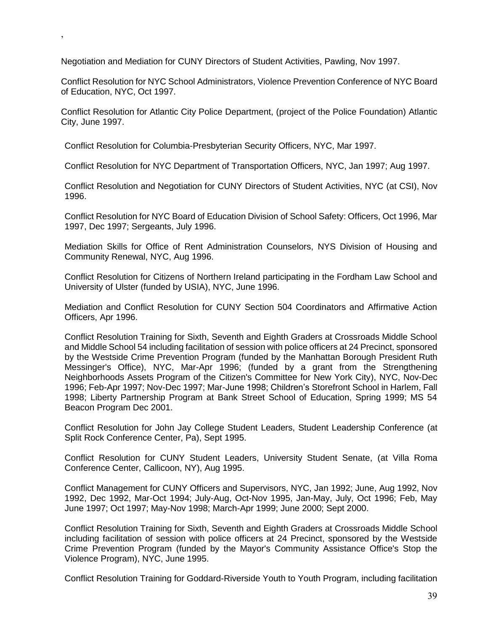Negotiation and Mediation for CUNY Directors of Student Activities, Pawling, Nov 1997.

,

Conflict Resolution for NYC School Administrators, Violence Prevention Conference of NYC Board of Education, NYC, Oct 1997.

Conflict Resolution for Atlantic City Police Department, (project of the Police Foundation) Atlantic City, June 1997.

Conflict Resolution for Columbia-Presbyterian Security Officers, NYC, Mar 1997.

Conflict Resolution for NYC Department of Transportation Officers, NYC, Jan 1997; Aug 1997.

Conflict Resolution and Negotiation for CUNY Directors of Student Activities, NYC (at CSI), Nov 1996.

Conflict Resolution for NYC Board of Education Division of School Safety: Officers, Oct 1996, Mar 1997, Dec 1997; Sergeants, July 1996.

Mediation Skills for Office of Rent Administration Counselors, NYS Division of Housing and Community Renewal, NYC, Aug 1996.

Conflict Resolution for Citizens of Northern Ireland participating in the Fordham Law School and University of Ulster (funded by USIA), NYC, June 1996.

Mediation and Conflict Resolution for CUNY Section 504 Coordinators and Affirmative Action Officers, Apr 1996.

Conflict Resolution Training for Sixth, Seventh and Eighth Graders at Crossroads Middle School and Middle School 54 including facilitation of session with police officers at 24 Precinct, sponsored by the Westside Crime Prevention Program (funded by the Manhattan Borough President Ruth Messinger's Office), NYC, Mar-Apr 1996; (funded by a grant from the Strengthening Neighborhoods Assets Program of the Citizen's Committee for New York City), NYC, Nov-Dec 1996; Feb-Apr 1997; Nov-Dec 1997; Mar-June 1998; Children's Storefront School in Harlem, Fall 1998; Liberty Partnership Program at Bank Street School of Education, Spring 1999; MS 54 Beacon Program Dec 2001.

Conflict Resolution for John Jay College Student Leaders, Student Leadership Conference (at Split Rock Conference Center, Pa), Sept 1995.

Conflict Resolution for CUNY Student Leaders, University Student Senate, (at Villa Roma Conference Center, Callicoon, NY), Aug 1995.

Conflict Management for CUNY Officers and Supervisors, NYC, Jan 1992; June, Aug 1992, Nov 1992, Dec 1992, Mar-Oct 1994; July-Aug, Oct-Nov 1995, Jan-May, July, Oct 1996; Feb, May June 1997; Oct 1997; May-Nov 1998; March-Apr 1999; June 2000; Sept 2000.

Conflict Resolution Training for Sixth, Seventh and Eighth Graders at Crossroads Middle School including facilitation of session with police officers at 24 Precinct, sponsored by the Westside Crime Prevention Program (funded by the Mayor's Community Assistance Office's Stop the Violence Program), NYC, June 1995.

Conflict Resolution Training for Goddard-Riverside Youth to Youth Program, including facilitation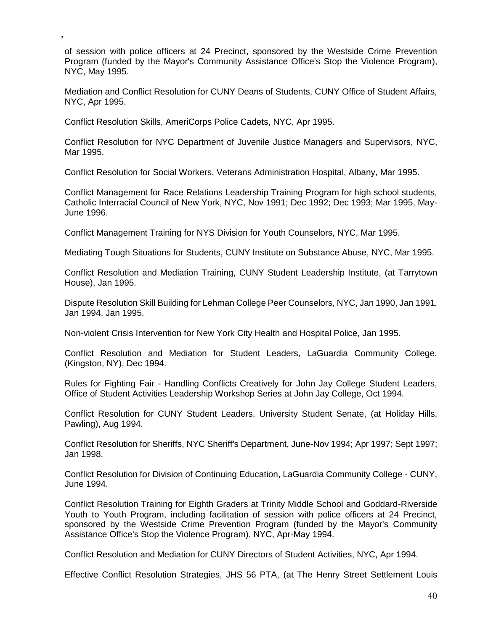of session with police officers at 24 Precinct, sponsored by the Westside Crime Prevention Program (funded by the Mayor's Community Assistance Office's Stop the Violence Program), NYC, May 1995.

Mediation and Conflict Resolution for CUNY Deans of Students, CUNY Office of Student Affairs, NYC, Apr 1995.

Conflict Resolution Skills, AmeriCorps Police Cadets, NYC, Apr 1995.

,

Conflict Resolution for NYC Department of Juvenile Justice Managers and Supervisors, NYC, Mar 1995.

Conflict Resolution for Social Workers, Veterans Administration Hospital, Albany, Mar 1995.

Conflict Management for Race Relations Leadership Training Program for high school students, Catholic Interracial Council of New York, NYC, Nov 1991; Dec 1992; Dec 1993; Mar 1995, May-June 1996.

Conflict Management Training for NYS Division for Youth Counselors, NYC, Mar 1995.

Mediating Tough Situations for Students, CUNY Institute on Substance Abuse, NYC, Mar 1995.

Conflict Resolution and Mediation Training, CUNY Student Leadership Institute, (at Tarrytown House), Jan 1995.

Dispute Resolution Skill Building for Lehman College Peer Counselors, NYC, Jan 1990, Jan 1991, Jan 1994, Jan 1995.

Non-violent Crisis Intervention for New York City Health and Hospital Police, Jan 1995.

Conflict Resolution and Mediation for Student Leaders, LaGuardia Community College, (Kingston, NY), Dec 1994.

Rules for Fighting Fair - Handling Conflicts Creatively for John Jay College Student Leaders, Office of Student Activities Leadership Workshop Series at John Jay College, Oct 1994.

Conflict Resolution for CUNY Student Leaders, University Student Senate, (at Holiday Hills, Pawling), Aug 1994.

Conflict Resolution for Sheriffs, NYC Sheriff's Department, June-Nov 1994; Apr 1997; Sept 1997; Jan 1998.

Conflict Resolution for Division of Continuing Education, LaGuardia Community College - CUNY, June 1994.

Conflict Resolution Training for Eighth Graders at Trinity Middle School and Goddard-Riverside Youth to Youth Program, including facilitation of session with police officers at 24 Precinct, sponsored by the Westside Crime Prevention Program (funded by the Mayor's Community Assistance Office's Stop the Violence Program), NYC, Apr-May 1994.

Conflict Resolution and Mediation for CUNY Directors of Student Activities, NYC, Apr 1994.

Effective Conflict Resolution Strategies, JHS 56 PTA, (at The Henry Street Settlement Louis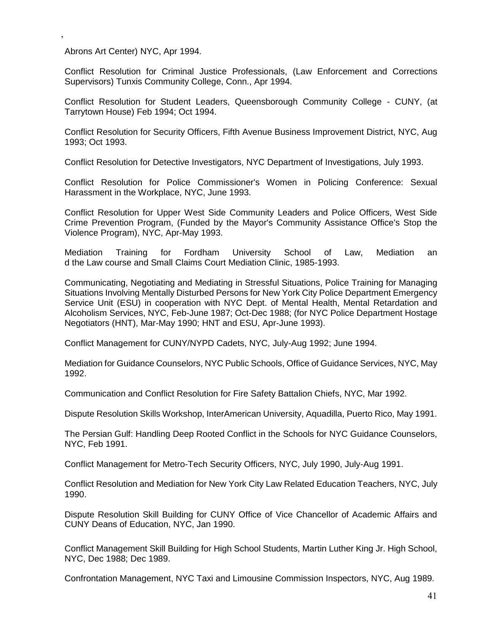Abrons Art Center) NYC, Apr 1994.

,

Conflict Resolution for Criminal Justice Professionals, (Law Enforcement and Corrections Supervisors) Tunxis Community College, Conn., Apr 1994.

Conflict Resolution for Student Leaders, Queensborough Community College - CUNY, (at Tarrytown House) Feb 1994; Oct 1994.

Conflict Resolution for Security Officers, Fifth Avenue Business Improvement District, NYC, Aug 1993; Oct 1993.

Conflict Resolution for Detective Investigators, NYC Department of Investigations, July 1993.

Conflict Resolution for Police Commissioner's Women in Policing Conference: Sexual Harassment in the Workplace, NYC, June 1993.

Conflict Resolution for Upper West Side Community Leaders and Police Officers, West Side Crime Prevention Program, (Funded by the Mayor's Community Assistance Office's Stop the Violence Program), NYC, Apr-May 1993.

Mediation Training for Fordham University School of Law, Mediation an d the Law course and Small Claims Court Mediation Clinic, 1985-1993.

Communicating, Negotiating and Mediating in Stressful Situations, Police Training for Managing Situations Involving Mentally Disturbed Persons for New York City Police Department Emergency Service Unit (ESU) in cooperation with NYC Dept. of Mental Health, Mental Retardation and Alcoholism Services, NYC, Feb-June 1987; Oct-Dec 1988; (for NYC Police Department Hostage Negotiators (HNT), Mar-May 1990; HNT and ESU, Apr-June 1993).

Conflict Management for CUNY/NYPD Cadets, NYC, July-Aug 1992; June 1994.

Mediation for Guidance Counselors, NYC Public Schools, Office of Guidance Services, NYC, May 1992.

Communication and Conflict Resolution for Fire Safety Battalion Chiefs, NYC, Mar 1992.

Dispute Resolution Skills Workshop, InterAmerican University, Aquadilla, Puerto Rico, May 1991.

The Persian Gulf: Handling Deep Rooted Conflict in the Schools for NYC Guidance Counselors, NYC, Feb 1991.

Conflict Management for Metro-Tech Security Officers, NYC, July 1990, July-Aug 1991.

Conflict Resolution and Mediation for New York City Law Related Education Teachers, NYC, July 1990.

Dispute Resolution Skill Building for CUNY Office of Vice Chancellor of Academic Affairs and CUNY Deans of Education, NYC, Jan 1990.

Conflict Management Skill Building for High School Students, Martin Luther King Jr. High School, NYC, Dec 1988; Dec 1989.

Confrontation Management, NYC Taxi and Limousine Commission Inspectors, NYC, Aug 1989.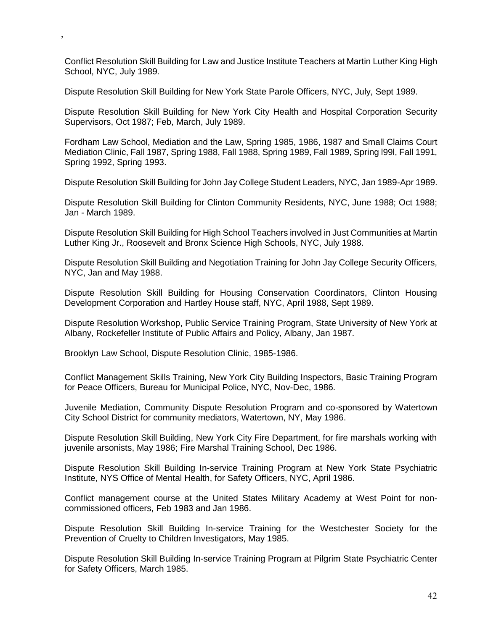Conflict Resolution Skill Building for Law and Justice Institute Teachers at Martin Luther King High School, NYC, July 1989.

Dispute Resolution Skill Building for New York State Parole Officers, NYC, July, Sept 1989.

Dispute Resolution Skill Building for New York City Health and Hospital Corporation Security Supervisors, Oct 1987; Feb, March, July 1989.

Fordham Law School, Mediation and the Law, Spring 1985, 1986, 1987 and Small Claims Court Mediation Clinic, Fall 1987, Spring 1988, Fall 1988, Spring 1989, Fall 1989, Spring l99l, Fall 1991, Spring 1992, Spring 1993.

Dispute Resolution Skill Building for John Jay College Student Leaders, NYC, Jan 1989-Apr 1989.

Dispute Resolution Skill Building for Clinton Community Residents, NYC, June 1988; Oct 1988; Jan - March 1989.

Dispute Resolution Skill Building for High School Teachers involved in Just Communities at Martin Luther King Jr., Roosevelt and Bronx Science High Schools, NYC, July 1988.

Dispute Resolution Skill Building and Negotiation Training for John Jay College Security Officers, NYC, Jan and May 1988.

Dispute Resolution Skill Building for Housing Conservation Coordinators, Clinton Housing Development Corporation and Hartley House staff, NYC, April 1988, Sept 1989.

Dispute Resolution Workshop, Public Service Training Program, State University of New York at Albany, Rockefeller Institute of Public Affairs and Policy, Albany, Jan 1987.

Brooklyn Law School, Dispute Resolution Clinic, 1985-1986.

,

Conflict Management Skills Training, New York City Building Inspectors, Basic Training Program for Peace Officers, Bureau for Municipal Police, NYC, Nov-Dec, 1986.

Juvenile Mediation, Community Dispute Resolution Program and co-sponsored by Watertown City School District for community mediators, Watertown, NY, May 1986.

Dispute Resolution Skill Building, New York City Fire Department, for fire marshals working with juvenile arsonists, May 1986; Fire Marshal Training School, Dec 1986.

Dispute Resolution Skill Building In-service Training Program at New York State Psychiatric Institute, NYS Office of Mental Health, for Safety Officers, NYC, April 1986.

Conflict management course at the United States Military Academy at West Point for noncommissioned officers, Feb 1983 and Jan 1986.

Dispute Resolution Skill Building In-service Training for the Westchester Society for the Prevention of Cruelty to Children Investigators, May 1985.

Dispute Resolution Skill Building In-service Training Program at Pilgrim State Psychiatric Center for Safety Officers, March 1985.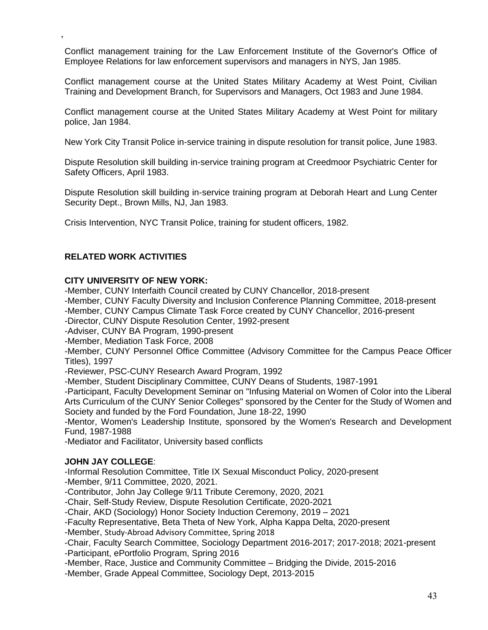Conflict management training for the Law Enforcement Institute of the Governor's Office of Employee Relations for law enforcement supervisors and managers in NYS, Jan 1985.

Conflict management course at the United States Military Academy at West Point, Civilian Training and Development Branch, for Supervisors and Managers, Oct 1983 and June 1984.

Conflict management course at the United States Military Academy at West Point for military police, Jan 1984.

New York City Transit Police in-service training in dispute resolution for transit police, June 1983.

Dispute Resolution skill building in-service training program at Creedmoor Psychiatric Center for Safety Officers, April 1983.

Dispute Resolution skill building in-service training program at Deborah Heart and Lung Center Security Dept., Brown Mills, NJ, Jan 1983.

Crisis Intervention, NYC Transit Police, training for student officers, 1982.

#### **RELATED WORK ACTIVITIES**

,

#### **CITY UNIVERSITY OF NEW YORK:**

-Member, CUNY Interfaith Council created by CUNY Chancellor, 2018-present

-Member, CUNY Faculty Diversity and Inclusion Conference Planning Committee, 2018-present

-Member, CUNY Campus Climate Task Force created by CUNY Chancellor, 2016-present

-Director, CUNY Dispute Resolution Center, 1992-present

-Adviser, CUNY BA Program, 1990-present

-Member, Mediation Task Force, 2008

-Member, CUNY Personnel Office Committee (Advisory Committee for the Campus Peace Officer Titles), 1997

-Reviewer, PSC-CUNY Research Award Program, 1992

-Member, Student Disciplinary Committee, CUNY Deans of Students, 1987-1991

-Participant, Faculty Development Seminar on "Infusing Material on Women of Color into the Liberal Arts Curriculum of the CUNY Senior Colleges" sponsored by the Center for the Study of Women and Society and funded by the Ford Foundation, June 18-22, 1990

-Mentor, Women's Leadership Institute, sponsored by the Women's Research and Development Fund, 1987-1988

-Mediator and Facilitator, University based conflicts

#### **JOHN JAY COLLEGE**:

-Informal Resolution Committee, Title IX Sexual Misconduct Policy, 2020-present

-Member, 9/11 Committee, 2020, 2021.

-Contributor, John Jay College 9/11 Tribute Ceremony, 2020, 2021

-Chair, Self-Study Review, Dispute Resolution Certificate, 2020-2021

-Chair, AKD (Sociology) Honor Society Induction Ceremony, 2019 – 2021

-Faculty Representative, Beta Theta of New York, Alpha Kappa Delta, 2020-present

-Member, Study-Abroad Advisory Committee, Spring 2018

-Chair, Faculty Search Committee, Sociology Department 2016-2017; 2017-2018; 2021-present

-Participant, ePortfolio Program, Spring 2016

-Member, Race, Justice and Community Committee – Bridging the Divide, 2015-2016

-Member, Grade Appeal Committee, Sociology Dept, 2013-2015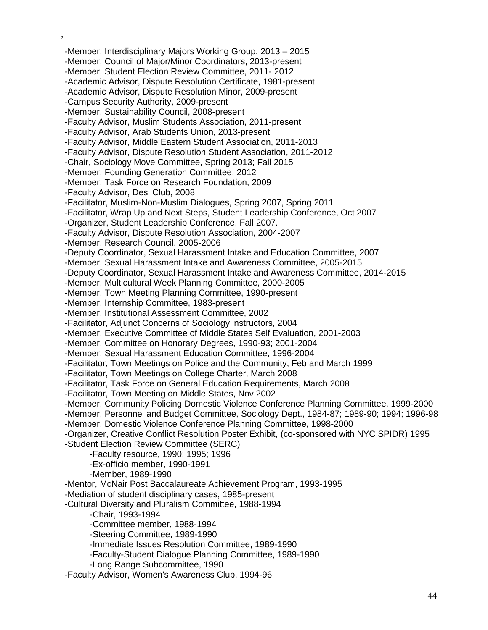-Member, Interdisciplinary Majors Working Group, 2013 – 2015 -Member, Council of Major/Minor Coordinators, 2013-present -Member, Student Election Review Committee, 2011- 2012 -Academic Advisor, Dispute Resolution Certificate, 1981-present -Academic Advisor, Dispute Resolution Minor, 2009-present -Campus Security Authority, 2009-present -Member, Sustainability Council, 2008-present -Faculty Advisor, Muslim Students Association, 2011-present -Faculty Advisor, Arab Students Union, 2013-present -Faculty Advisor, Middle Eastern Student Association, 2011-2013 -Faculty Advisor, Dispute Resolution Student Association, 2011-2012 -Chair, Sociology Move Committee, Spring 2013; Fall 2015 -Member, Founding Generation Committee, 2012 -Member, Task Force on Research Foundation, 2009 -Faculty Advisor, Desi Club, 2008 -Facilitator, Muslim-Non-Muslim Dialogues, Spring 2007, Spring 2011 -Facilitator, Wrap Up and Next Steps, Student Leadership Conference, Oct 2007 -Organizer, Student Leadership Conference, Fall 2007. -Faculty Advisor, Dispute Resolution Association, 2004-2007 -Member, Research Council, 2005-2006 -Deputy Coordinator, Sexual Harassment Intake and Education Committee, 2007 -Member, Sexual Harassment Intake and Awareness Committee, 2005-2015 -Deputy Coordinator, Sexual Harassment Intake and Awareness Committee, 2014-2015 -Member, Multicultural Week Planning Committee, 2000-2005 -Member, Town Meeting Planning Committee, 1990-present -Member, Internship Committee, 1983-present -Member, Institutional Assessment Committee, 2002 -Facilitator, Adjunct Concerns of Sociology instructors, 2004 -Member, Executive Committee of Middle States Self Evaluation, 2001-2003 -Member, Committee on Honorary Degrees, 1990-93; 2001-2004 -Member, Sexual Harassment Education Committee, 1996-2004 -Facilitator, Town Meetings on Police and the Community, Feb and March 1999 -Facilitator, Town Meetings on College Charter, March 2008 -Facilitator, Task Force on General Education Requirements, March 2008 -Facilitator, Town Meeting on Middle States, Nov 2002 -Member, Community Policing Domestic Violence Conference Planning Committee, 1999-2000 -Member, Personnel and Budget Committee, Sociology Dept., 1984-87; 1989-90; 1994; 1996-98 -Member, Domestic Violence Conference Planning Committee, 1998-2000 -Organizer, Creative Conflict Resolution Poster Exhibit, (co-sponsored with NYC SPIDR) 1995 -Student Election Review Committee (SERC) -Faculty resource, 1990; 1995; 1996 -Ex-officio member, 1990-1991 -Member, 1989-1990 -Mentor, McNair Post Baccalaureate Achievement Program, 1993-1995 -Mediation of student disciplinary cases, 1985-present -Cultural Diversity and Pluralism Committee, 1988-1994 -Chair, 1993-1994 -Committee member, 1988-1994 -Steering Committee, 1989-1990 -Immediate Issues Resolution Committee, 1989-1990 -Faculty-Student Dialogue Planning Committee, 1989-1990 -Long Range Subcommittee, 1990 -Faculty Advisor, Women's Awareness Club, 1994-96

,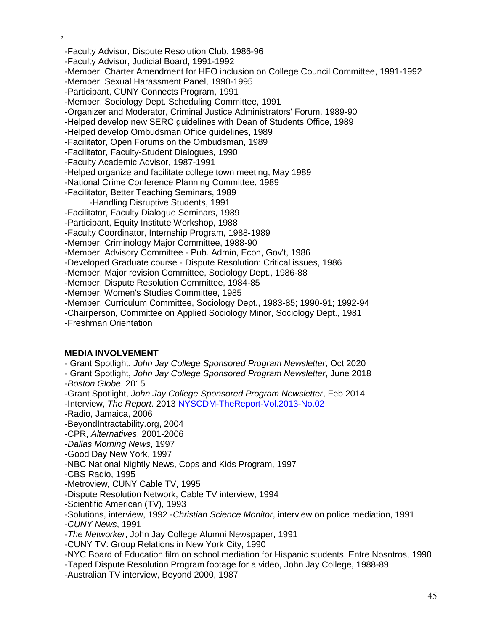-Faculty Advisor, Dispute Resolution Club, 1986-96 -Faculty Advisor, Judicial Board, 1991-1992 -Member, Charter Amendment for HEO inclusion on College Council Committee, 1991-1992 -Member, Sexual Harassment Panel, 1990-1995 -Participant, CUNY Connects Program, 1991 -Member, Sociology Dept. Scheduling Committee, 1991 -Organizer and Moderator, Criminal Justice Administrators' Forum, 1989-90 -Helped develop new SERC guidelines with Dean of Students Office, 1989 -Helped develop Ombudsman Office guidelines, 1989 -Facilitator, Open Forums on the Ombudsman, 1989 -Facilitator, Faculty-Student Dialogues, 1990 -Faculty Academic Advisor, 1987-1991 -Helped organize and facilitate college town meeting, May 1989 -National Crime Conference Planning Committee, 1989 -Facilitator, Better Teaching Seminars, 1989 -Handling Disruptive Students, 1991 -Facilitator, Faculty Dialogue Seminars, 1989 -Participant, Equity Institute Workshop, 1988 -Faculty Coordinator, Internship Program, 1988-1989 -Member, Criminology Major Committee, 1988-90 -Member, Advisory Committee - Pub. Admin, Econ, Gov't, 1986 -Developed Graduate course - Dispute Resolution: Critical issues, 1986 -Member, Major revision Committee, Sociology Dept., 1986-88 -Member, Dispute Resolution Committee, 1984-85 -Member, Women's Studies Committee, 1985 -Member, Curriculum Committee, Sociology Dept., 1983-85; 1990-91; 1992-94 -Chairperson, Committee on Applied Sociology Minor, Sociology Dept., 1981 -Freshman Orientation

#### **MEDIA INVOLVEMENT**

,

- Grant Spotlight, *John Jay College Sponsored Program Newsletter*, Oct 2020

- Grant Spotlight, *John Jay College Sponsored Program Newsletter*, June 2018 -*Boston Globe*, 2015

-Grant Spotlight, *John Jay College Sponsored Program Newsletter*, Feb 2014 -Interview, *The Report*. 2013 [NYSCDM-TheReport-Vol.2013-No.02](http://nyscdm.org/nyscdmsite/wp-content/uploads/2013/08/NYSCDM-TheReport-Vol.2013-No.02.pdf)

-Radio, Jamaica, 2006

-BeyondIntractability.org, 2004

-CPR, *Alternatives*, 2001-2006

-*Dallas Morning News*, 1997

-Good Day New York, 1997

-NBC National Nightly News, Cops and Kids Program, 1997

-CBS Radio, 1995

-Metroview, CUNY Cable TV, 1995

-Dispute Resolution Network, Cable TV interview, 1994

-Scientific American (TV), 1993

-Solutions, interview, 1992 -*Christian Science Monitor*, interview on police mediation, 1991

-*CUNY News*, 1991

-*The Networker*, John Jay College Alumni Newspaper, 1991

-CUNY TV: Group Relations in New York City, 1990

-NYC Board of Education film on school mediation for Hispanic students, Entre Nosotros, 1990

-Taped Dispute Resolution Program footage for a video, John Jay College, 1988-89

-Australian TV interview, Beyond 2000, 1987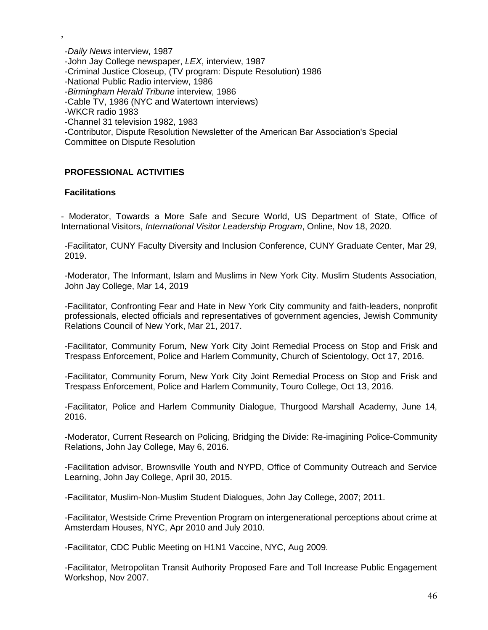-*Daily News* interview, 1987 -John Jay College newspaper, *LEX*, interview, 1987 -Criminal Justice Closeup, (TV program: Dispute Resolution) 1986 -National Public Radio interview, 1986 -*Birmingham Herald Tribune* interview, 1986 -Cable TV, 1986 (NYC and Watertown interviews) -WKCR radio 1983 -Channel 31 television 1982, 1983 -Contributor, Dispute Resolution Newsletter of the American Bar Association's Special Committee on Dispute Resolution

### **PROFESSIONAL ACTIVITIES**

#### **Facilitations**

,

- Moderator, Towards a More Safe and Secure World, US Department of State, Office of International Visitors, *International Visitor Leadership Program*, Online, Nov 18, 2020.

-Facilitator, CUNY Faculty Diversity and Inclusion Conference, CUNY Graduate Center, Mar 29, 2019.

-Moderator, The Informant, Islam and Muslims in New York City. Muslim Students Association, John Jay College, Mar 14, 2019

-Facilitator, Confronting Fear and Hate in New York City community and faith-leaders, nonprofit professionals, elected officials and representatives of government agencies, Jewish Community Relations Council of New York, Mar 21, 2017.

-Facilitator, Community Forum, New York City Joint Remedial Process on Stop and Frisk and Trespass Enforcement, Police and Harlem Community, Church of Scientology, Oct 17, 2016.

-Facilitator, Community Forum, New York City Joint Remedial Process on Stop and Frisk and Trespass Enforcement, Police and Harlem Community, Touro College, Oct 13, 2016.

-Facilitator, Police and Harlem Community Dialogue, Thurgood Marshall Academy, June 14, 2016.

-Moderator, Current Research on Policing, Bridging the Divide: Re-imagining Police-Community Relations, John Jay College, May 6, 2016.

-Facilitation advisor, Brownsville Youth and NYPD, Office of Community Outreach and Service Learning, John Jay College, April 30, 2015.

-Facilitator, Muslim-Non-Muslim Student Dialogues, John Jay College, 2007; 2011.

-Facilitator, Westside Crime Prevention Program on intergenerational perceptions about crime at Amsterdam Houses, NYC, Apr 2010 and July 2010.

-Facilitator, CDC Public Meeting on H1N1 Vaccine, NYC, Aug 2009.

-Facilitator, Metropolitan Transit Authority Proposed Fare and Toll Increase Public Engagement Workshop, Nov 2007.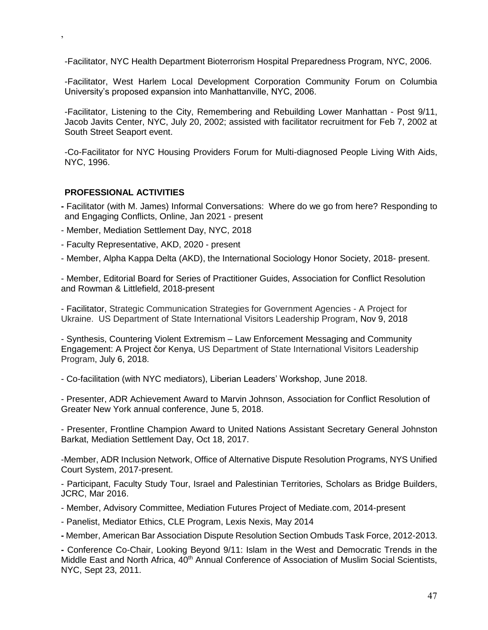-Facilitator, NYC Health Department Bioterrorism Hospital Preparedness Program, NYC, 2006.

-Facilitator, West Harlem Local Development Corporation Community Forum on Columbia University's proposed expansion into Manhattanville, NYC, 2006.

-Facilitator, Listening to the City, Remembering and Rebuilding Lower Manhattan - Post 9/11, Jacob Javits Center, NYC, July 20, 2002; assisted with facilitator recruitment for Feb 7, 2002 at South Street Seaport event.

-Co-Facilitator for NYC Housing Providers Forum for Multi-diagnosed People Living With Aids, NYC, 1996.

#### **PROFESSIONAL ACTIVITIES**

,

- **-** Facilitator (with M. James) Informal Conversations: Where do we go from here? Responding to and Engaging Conflicts, Online, Jan 2021 - present
- Member, Mediation Settlement Day, NYC, 2018
- Faculty Representative, AKD, 2020 present
- Member, Alpha Kappa Delta (AKD), the International Sociology Honor Society, 2018- present.

- Member, Editorial Board for Series of Practitioner Guides, Association for Conflict Resolution and Rowman & Littlefield, 2018-present

- Facilitator, Strategic Communication Strategies for Government Agencies - A Project for Ukraine. US Department of State International Visitors Leadership Program, Nov 9, 2018

- Synthesis, Countering Violent Extremism – Law Enforcement Messaging and Community Engagement: A Project čor Kenya, US Department of State International Visitors Leadership Program, July 6, 2018.

- Co-facilitation (with NYC mediators), Liberian Leaders' Workshop, June 2018.

- Presenter, ADR Achievement Award to Marvin Johnson, Association for Conflict Resolution of Greater New York annual conference, June 5, 2018.

- Presenter, Frontline Champion Award to United Nations Assistant Secretary General Johnston Barkat, Mediation Settlement Day, Oct 18, 2017.

-Member, ADR Inclusion Network, Office of Alternative Dispute Resolution Programs, NYS Unified Court System, 2017-present.

- Participant, Faculty Study Tour, Israel and Palestinian Territories, Scholars as Bridge Builders, JCRC, Mar 2016.

- Member, Advisory Committee, Mediation Futures Project of Mediate.com, 2014-present

- Panelist, Mediator Ethics, CLE Program, Lexis Nexis, May 2014

**-** Member, American Bar Association Dispute Resolution Section Ombuds Task Force, 2012-2013.

**-** Conference Co-Chair, Looking Beyond 9/11: Islam in the West and Democratic Trends in the Middle East and North Africa, 40<sup>th</sup> Annual Conference of Association of Muslim Social Scientists, NYC, Sept 23, 2011.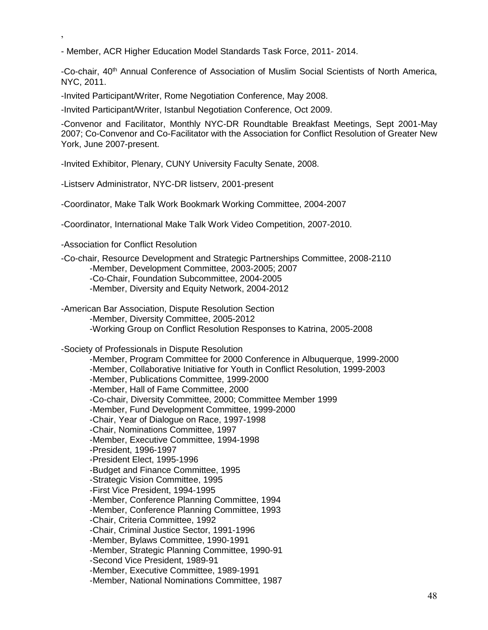- Member, [ACR Higher Education Model Standards Task Force,](https://sites.google.com/site/acrhighered/) 2011- 2014.

-Co-chair, 40th Annual Conference of Association of Muslim Social Scientists of North America, NYC, 2011.

-Invited Participant/Writer, Rome Negotiation Conference, May 2008.

-Invited Participant/Writer, Istanbul Negotiation Conference, Oct 2009.

-Convenor and Facilitator, Monthly NYC-DR Roundtable Breakfast Meetings, Sept 2001-May 2007; Co-Convenor and Co-Facilitator with the Association for Conflict Resolution of Greater New York, June 2007-present.

-Invited Exhibitor, Plenary, CUNY University Faculty Senate, 2008.

-Listserv Administrator, NYC-DR listserv, 2001-present

-Coordinator, Make Talk Work Bookmark Working Committee, 2004-2007

-Coordinator, International Make Talk Work Video Competition, 2007-2010.

-Association for Conflict Resolution

,

-Co-chair, Resource Development and Strategic Partnerships Committee, 2008-2110 -Member, Development Committee, 2003-2005; 2007 -Co-Chair, Foundation Subcommittee, 2004-2005 -Member, Diversity and Equity Network, 2004-2012

-American Bar Association, Dispute Resolution Section

-Member, Diversity Committee, 2005-2012

-Working Group on Conflict Resolution Responses to Katrina, 2005-2008

-Society of Professionals in Dispute Resolution

-Member, Program Committee for 2000 Conference in Albuquerque, 1999-2000 -Member, Collaborative Initiative for Youth in Conflict Resolution, 1999-2003 -Member, Publications Committee, 1999-2000 -Member, Hall of Fame Committee, 2000 -Co-chair, Diversity Committee, 2000; Committee Member 1999 -Member, Fund Development Committee, 1999-2000 -Chair, Year of Dialogue on Race, 1997-1998 -Chair, Nominations Committee, 1997 -Member, Executive Committee, 1994-1998 -President, 1996-1997 -President Elect, 1995-1996 -Budget and Finance Committee, 1995 -Strategic Vision Committee, 1995 -First Vice President, 1994-1995 -Member, Conference Planning Committee, 1994 -Member, Conference Planning Committee, 1993 -Chair, Criteria Committee, 1992 -Chair, Criminal Justice Sector, 1991-1996 -Member, Bylaws Committee, 1990-1991 -Member, Strategic Planning Committee, 1990-91 -Second Vice President, 1989-91 -Member, Executive Committee, 1989-1991 -Member, National Nominations Committee, 1987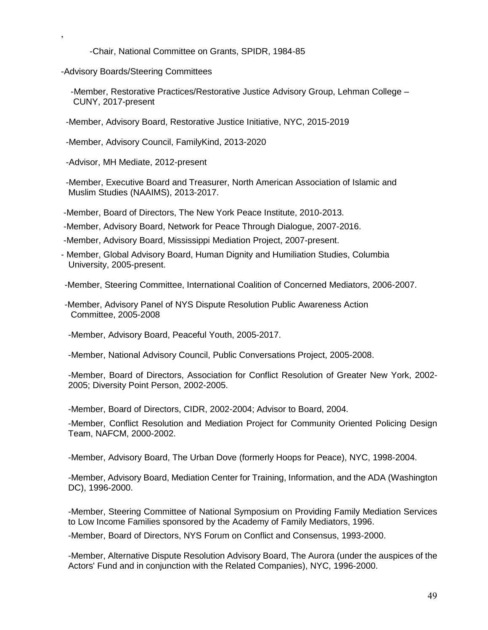-Chair, National Committee on Grants, SPIDR, 1984-85

-Advisory Boards/Steering Committees

,

 -Member, Restorative Practices/Restorative Justice Advisory Group, Lehman College – CUNY, 2017-present

-Member, Advisory Board, Restorative Justice Initiative, NYC, 2015-2019

-Member, Advisory Council, FamilyKind, 2013-2020

-Advisor, MH Mediate, 2012-present

 -Member, Executive Board and Treasurer, North American Association of Islamic and Muslim Studies (NAAIMS), 2013-2017.

-Member, Board of Directors, The New York Peace Institute, 2010-2013.

-Member, Advisory Board, Network for Peace Through Dialogue, 2007-2016.

-Member, Advisory Board, Mississippi Mediation Project, 2007-present.

- Member, Global Advisory Board, Human Dignity and Humiliation Studies, Columbia University, 2005-present.

-Member, Steering Committee, International Coalition of Concerned Mediators, 2006-2007.

-Member, Advisory Panel of NYS Dispute Resolution Public Awareness Action Committee, 2005-2008

-Member, Advisory Board, Peaceful Youth, 2005-2017.

-Member, National Advisory Council, Public Conversations Project, 2005-2008.

-Member, Board of Directors, Association for Conflict Resolution of Greater New York, 2002- 2005; Diversity Point Person, 2002-2005.

-Member, Board of Directors, CIDR, 2002-2004; Advisor to Board, 2004.

-Member, Conflict Resolution and Mediation Project for Community Oriented Policing Design Team, NAFCM, 2000-2002.

-Member, Advisory Board, The Urban Dove (formerly Hoops for Peace), NYC, 1998-2004.

-Member, Advisory Board, Mediation Center for Training, Information, and the ADA (Washington DC), 1996-2000.

-Member, Steering Committee of National Symposium on Providing Family Mediation Services to Low Income Families sponsored by the Academy of Family Mediators, 1996.

-Member, Board of Directors, NYS Forum on Conflict and Consensus, 1993-2000.

-Member, Alternative Dispute Resolution Advisory Board, The Aurora (under the auspices of the Actors' Fund and in conjunction with the Related Companies), NYC, 1996-2000.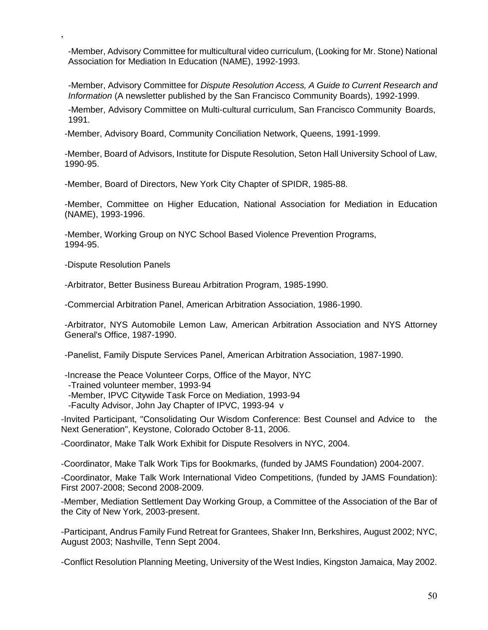-Member, Advisory Committee for multicultural video curriculum, (Looking for Mr. Stone) National Association for Mediation In Education (NAME), 1992-1993.

-Member, Advisory Committee for *Dispute Resolution Access, A Guide to Current Research and Information* (A newsletter published by the San Francisco Community Boards), 1992-1999.

-Member, Advisory Committee on Multi-cultural curriculum, San Francisco Community Boards, 1991.

-Member, Advisory Board, Community Conciliation Network, Queens, 1991-1999.

-Member, Board of Advisors, Institute for Dispute Resolution, Seton Hall University School of Law, 1990-95.

-Member, Board of Directors, New York City Chapter of SPIDR, 1985-88.

-Member, Committee on Higher Education, National Association for Mediation in Education (NAME), 1993-1996.

-Member, Working Group on NYC School Based Violence Prevention Programs, 1994-95.

-Dispute Resolution Panels

,

-Arbitrator, Better Business Bureau Arbitration Program, 1985-1990.

-Commercial Arbitration Panel, American Arbitration Association, 1986-1990.

-Arbitrator, NYS Automobile Lemon Law, American Arbitration Association and NYS Attorney General's Office, 1987-1990.

-Panelist, Family Dispute Services Panel, American Arbitration Association, 1987-1990.

-Increase the Peace Volunteer Corps, Office of the Mayor, NYC

-Trained volunteer member, 1993-94

- -Member, IPVC Citywide Task Force on Mediation, 1993-94
- -Faculty Advisor, John Jay Chapter of IPVC, 1993-94 v

-Invited Participant, "Consolidating Our Wisdom Conference: Best Counsel and Advice to the Next Generation", Keystone, Colorado October 8-11, 2006.

-Coordinator, Make Talk Work Exhibit for Dispute Resolvers in NYC, 2004.

-Coordinator, Make Talk Work Tips for Bookmarks, (funded by JAMS Foundation) 2004-2007.

-Coordinator, Make Talk Work International Video Competitions, (funded by JAMS Foundation): First 2007-2008; Second 2008-2009.

-Member, Mediation Settlement Day Working Group, a Committee of the Association of the Bar of the City of New York, 2003-present.

-Participant, Andrus Family Fund Retreat for Grantees, Shaker Inn, Berkshires, August 2002; NYC, August 2003; Nashville, Tenn Sept 2004.

-Conflict Resolution Planning Meeting, University of the West Indies, Kingston Jamaica, May 2002.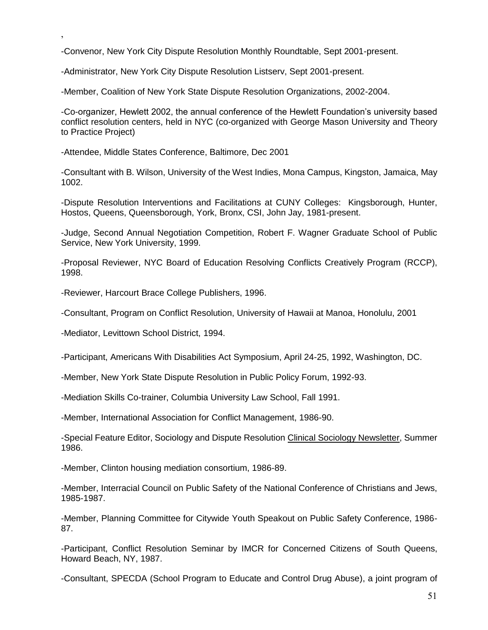-Convenor, New York City Dispute Resolution Monthly Roundtable, Sept 2001-present.

-Administrator, New York City Dispute Resolution Listserv, Sept 2001-present.

-Member, Coalition of New York State Dispute Resolution Organizations, 2002-2004.

-Co-organizer, Hewlett 2002, the annual conference of the Hewlett Foundation's university based conflict resolution centers, held in NYC (co-organized with George Mason University and Theory to Practice Project)

-Attendee, Middle States Conference, Baltimore, Dec 2001

,

-Consultant with B. Wilson, University of the West Indies, Mona Campus, Kingston, Jamaica, May 1002.

-Dispute Resolution Interventions and Facilitations at CUNY Colleges: Kingsborough, Hunter, Hostos, Queens, Queensborough, York, Bronx, CSI, John Jay, 1981-present.

-Judge, Second Annual Negotiation Competition, Robert F. Wagner Graduate School of Public Service, New York University, 1999.

-Proposal Reviewer, NYC Board of Education Resolving Conflicts Creatively Program (RCCP), 1998.

-Reviewer, Harcourt Brace College Publishers, 1996.

-Consultant, Program on Conflict Resolution, University of Hawaii at Manoa, Honolulu, 2001

-Mediator, Levittown School District, 1994.

-Participant, Americans With Disabilities Act Symposium, April 24-25, 1992, Washington, DC.

-Member, New York State Dispute Resolution in Public Policy Forum, 1992-93.

-Mediation Skills Co-trainer, Columbia University Law School, Fall 1991.

-Member, International Association for Conflict Management, 1986-90.

-Special Feature Editor, Sociology and Dispute Resolution Clinical Sociology Newsletter, Summer 1986.

-Member, Clinton housing mediation consortium, 1986-89.

-Member, Interracial Council on Public Safety of the National Conference of Christians and Jews, 1985-1987.

-Member, Planning Committee for Citywide Youth Speakout on Public Safety Conference, 1986- 87.

-Participant, Conflict Resolution Seminar by IMCR for Concerned Citizens of South Queens, Howard Beach, NY, 1987.

-Consultant, SPECDA (School Program to Educate and Control Drug Abuse), a joint program of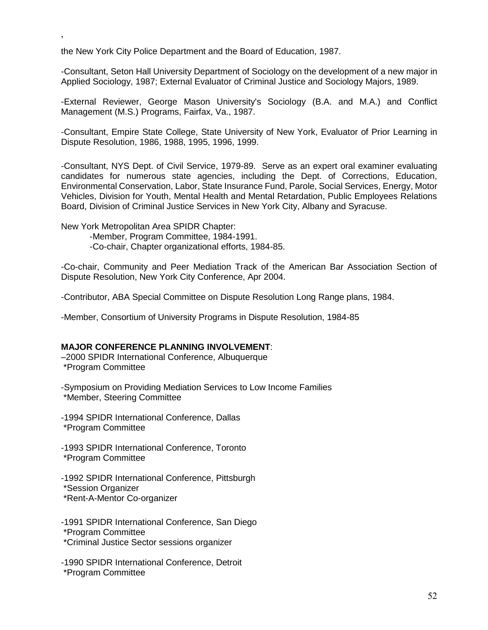the New York City Police Department and the Board of Education, 1987.

-Consultant, Seton Hall University Department of Sociology on the development of a new major in Applied Sociology, 1987; External Evaluator of Criminal Justice and Sociology Majors, 1989.

-External Reviewer, George Mason University's Sociology (B.A. and M.A.) and Conflict Management (M.S.) Programs, Fairfax, Va., 1987.

-Consultant, Empire State College, State University of New York, Evaluator of Prior Learning in Dispute Resolution, 1986, 1988, 1995, 1996, 1999.

-Consultant, NYS Dept. of Civil Service, 1979-89. Serve as an expert oral examiner evaluating candidates for numerous state agencies, including the Dept. of Corrections, Education, Environmental Conservation, Labor, State Insurance Fund, Parole, Social Services, Energy, Motor Vehicles, Division for Youth, Mental Health and Mental Retardation, Public Employees Relations Board, Division of Criminal Justice Services in New York City, Albany and Syracuse.

New York Metropolitan Area SPIDR Chapter:

,

-Member, Program Committee, 1984-1991.

-Co-chair, Chapter organizational efforts, 1984-85.

-Co-chair, Community and Peer Mediation Track of the American Bar Association Section of Dispute Resolution, New York City Conference, Apr 2004.

-Contributor, ABA Special Committee on Dispute Resolution Long Range plans, 1984.

-Member, Consortium of University Programs in Dispute Resolution, 1984-85

#### **MAJOR CONFERENCE PLANNING INVOLVEMENT**:

–2000 SPIDR International Conference, Albuquerque \*Program Committee

-Symposium on Providing Mediation Services to Low Income Families \*Member, Steering Committee

-1994 SPIDR International Conference, Dallas \*Program Committee

-1993 SPIDR International Conference, Toronto \*Program Committee

-1992 SPIDR International Conference, Pittsburgh

\*Session Organizer

\*Rent-A-Mentor Co-organizer

-1991 SPIDR International Conference, San Diego \*Program Committee \*Criminal Justice Sector sessions organizer

-1990 SPIDR International Conference, Detroit \*Program Committee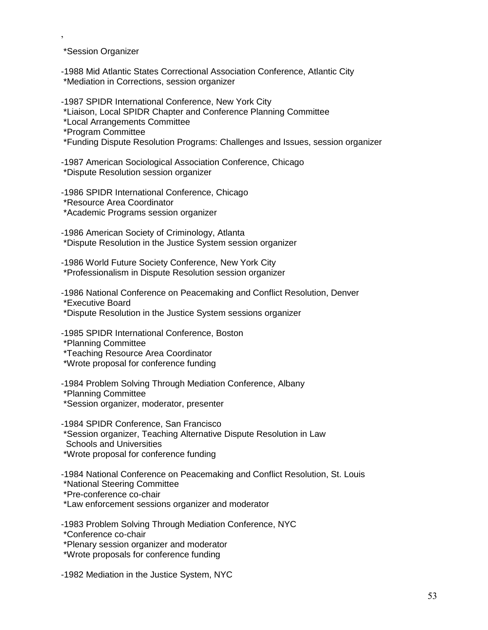\*Session Organizer

,

-1988 Mid Atlantic States Correctional Association Conference, Atlantic City \*Mediation in Corrections, session organizer

-1987 SPIDR International Conference, New York City \*Liaison, Local SPIDR Chapter and Conference Planning Committee \*Local Arrangements Committee \*Program Committee

\*Funding Dispute Resolution Programs: Challenges and Issues, session organizer

-1987 American Sociological Association Conference, Chicago \*Dispute Resolution session organizer

-1986 SPIDR International Conference, Chicago \*Resource Area Coordinator \*Academic Programs session organizer

-1986 American Society of Criminology, Atlanta \*Dispute Resolution in the Justice System session organizer

-1986 World Future Society Conference, New York City \*Professionalism in Dispute Resolution session organizer

-1986 National Conference on Peacemaking and Conflict Resolution, Denver \*Executive Board

\*Dispute Resolution in the Justice System sessions organizer

-1985 SPIDR International Conference, Boston

\*Planning Committee

\*Teaching Resource Area Coordinator

\*Wrote proposal for conference funding

-1984 Problem Solving Through Mediation Conference, Albany \*Planning Committee

\*Session organizer, moderator, presenter

-1984 SPIDR Conference, San Francisco \*Session organizer, Teaching Alternative Dispute Resolution in Law

Schools and Universities

\*Wrote proposal for conference funding

-1984 National Conference on Peacemaking and Conflict Resolution, St. Louis

\*National Steering Committee

\*Pre-conference co-chair

\*Law enforcement sessions organizer and moderator

-1983 Problem Solving Through Mediation Conference, NYC

\*Conference co-chair

\*Plenary session organizer and moderator

\*Wrote proposals for conference funding

-1982 Mediation in the Justice System, NYC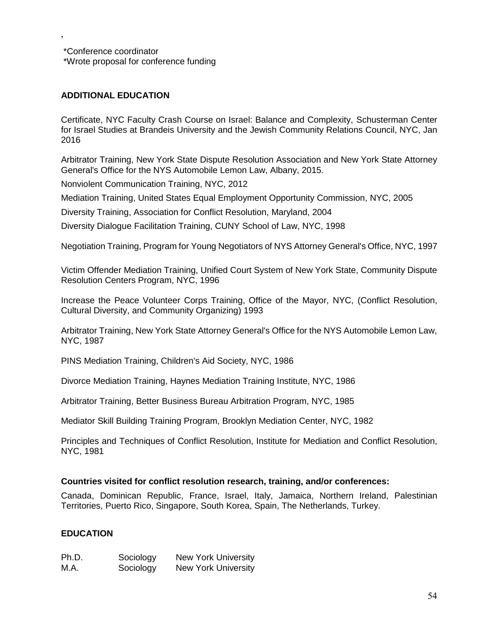\*Conference coordinator \*Wrote proposal for conference funding

# **ADDITIONAL EDUCATION**

,

Certificate, NYC Faculty Crash Course on Israel: Balance and Complexity, Schusterman Center for Israel Studies at Brandeis University and the Jewish Community Relations Council, NYC, Jan 2016

Arbitrator Training, New York State Dispute Resolution Association and New York State Attorney General's Office for the NYS Automobile Lemon Law, Albany, 2015.

Nonviolent Communication Training, NYC, 2012

Mediation Training, United States Equal Employment Opportunity Commission, NYC, 2005

Diversity Training, Association for Conflict Resolution, Maryland, 2004

Diversity Dialogue Facilitation Training, CUNY School of Law, NYC, 1998

Negotiation Training, Program for Young Negotiators of NYS Attorney General's Office, NYC, 1997

Victim Offender Mediation Training, Unified Court System of New York State, Community Dispute Resolution Centers Program, NYC, 1996

Increase the Peace Volunteer Corps Training, Office of the Mayor, NYC, (Conflict Resolution, Cultural Diversity, and Community Organizing) 1993

Arbitrator Training, New York State Attorney General's Office for the NYS Automobile Lemon Law, NYC, 1987

PINS Mediation Training, Children's Aid Society, NYC, 1986

Divorce Mediation Training, Haynes Mediation Training Institute, NYC, 1986

Arbitrator Training, Better Business Bureau Arbitration Program, NYC, 1985

Mediator Skill Building Training Program, Brooklyn Mediation Center, NYC, 1982

Principles and Techniques of Conflict Resolution, Institute for Mediation and Conflict Resolution, NYC, 1981

#### **Countries visited for conflict resolution research, training, and/or conferences:**

Canada, Dominican Republic, France, Israel, Italy, Jamaica, Northern Ireland, Palestinian Territories, Puerto Rico, Singapore, South Korea, Spain, The Netherlands, Turkey.

#### **EDUCATION**

| Ph.D. | Sociology | <b>New York University</b> |
|-------|-----------|----------------------------|
| M.A.  | Sociology | <b>New York University</b> |